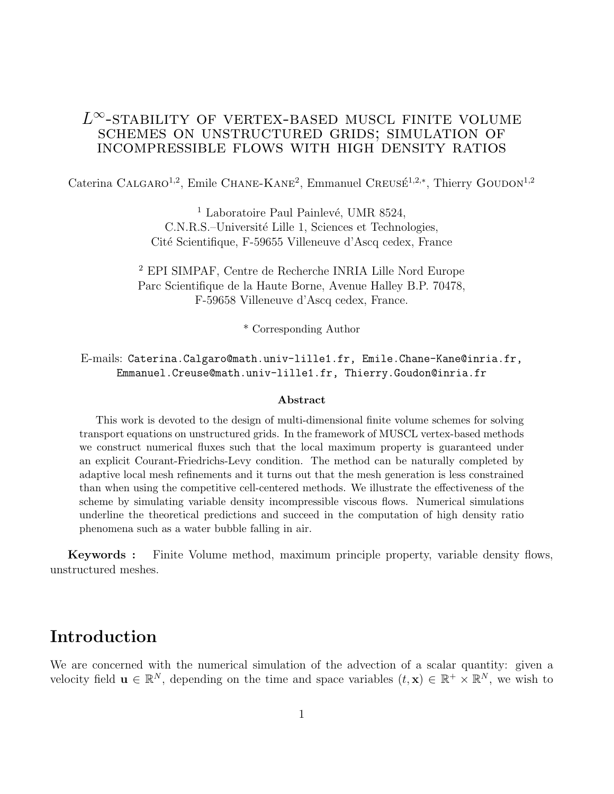### $L^{\infty}$ -stability of vertex-based muscl finite volume schemes on unstructured grids; simulation of incompressible flows with high density ratios

Caterina CALGARO<sup>1,2</sup>, Emile CHANE-KANE<sup>2</sup>, Emmanuel CREUSÉ<sup>1,2,\*</sup>, Thierry GOUDON<sup>1,2</sup>

<sup>1</sup> Laboratoire Paul Painlevé, UMR 8524, C.N.R.S.–Université Lille 1, Sciences et Technologies, Cité Scientifique, F-59655 Villeneuve d'Ascq cedex, France

<sup>2</sup> EPI SIMPAF, Centre de Recherche INRIA Lille Nord Europe Parc Scientifique de la Haute Borne, Avenue Halley B.P. 70478, F-59658 Villeneuve d'Ascq cedex, France.

\* Corresponding Author

E-mails: Caterina.Calgaro@math.univ-lille1.fr, Emile.Chane-Kane@inria.fr, Emmanuel.Creuse@math.univ-lille1.fr, Thierry.Goudon@inria.fr

#### Abstract

This work is devoted to the design of multi-dimensional finite volume schemes for solving transport equations on unstructured grids. In the framework of MUSCL vertex-based methods we construct numerical fluxes such that the local maximum property is guaranteed under an explicit Courant-Friedrichs-Levy condition. The method can be naturally completed by adaptive local mesh refinements and it turns out that the mesh generation is less constrained than when using the competitive cell-centered methods. We illustrate the effectiveness of the scheme by simulating variable density incompressible viscous flows. Numerical simulations underline the theoretical predictions and succeed in the computation of high density ratio phenomena such as a water bubble falling in air.

Keywords : Finite Volume method, maximum principle property, variable density flows, unstructured meshes.

### Introduction

We are concerned with the numerical simulation of the advection of a scalar quantity: given a velocity field  $\mathbf{u} \in \mathbb{R}^N$ , depending on the time and space variables  $(t, \mathbf{x}) \in \mathbb{R}^+ \times \mathbb{R}^N$ , we wish to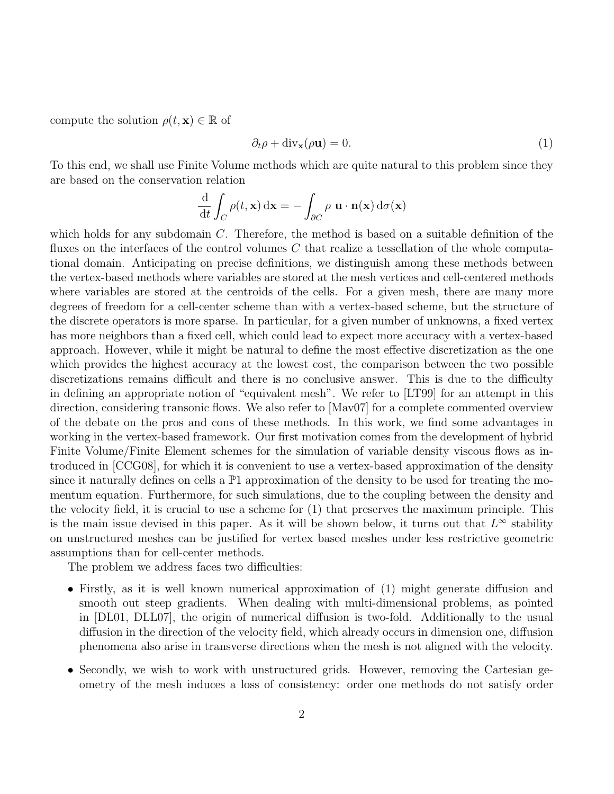compute the solution  $\rho(t, \mathbf{x}) \in \mathbb{R}$  of

$$
\partial_t \rho + \text{div}_\mathbf{x}(\rho \mathbf{u}) = 0. \tag{1}
$$

To this end, we shall use Finite Volume methods which are quite natural to this problem since they are based on the conservation relation

$$
\frac{\mathrm{d}}{\mathrm{d}t} \int_C \rho(t, \mathbf{x}) \, \mathrm{d}\mathbf{x} = - \int_{\partial C} \rho \, \mathbf{u} \cdot \mathbf{n}(\mathbf{x}) \, \mathrm{d}\sigma(\mathbf{x})
$$

which holds for any subdomain  $C$ . Therefore, the method is based on a suitable definition of the fluxes on the interfaces of the control volumes  $C$  that realize a tessellation of the whole computational domain. Anticipating on precise definitions, we distinguish among these methods between the vertex-based methods where variables are stored at the mesh vertices and cell-centered methods where variables are stored at the centroids of the cells. For a given mesh, there are many more degrees of freedom for a cell-center scheme than with a vertex-based scheme, but the structure of the discrete operators is more sparse. In particular, for a given number of unknowns, a fixed vertex has more neighbors than a fixed cell, which could lead to expect more accuracy with a vertex-based approach. However, while it might be natural to define the most effective discretization as the one which provides the highest accuracy at the lowest cost, the comparison between the two possible discretizations remains difficult and there is no conclusive answer. This is due to the difficulty in defining an appropriate notion of "equivalent mesh". We refer to [LT99] for an attempt in this direction, considering transonic flows. We also refer to [Mav07] for a complete commented overview of the debate on the pros and cons of these methods. In this work, we find some advantages in working in the vertex-based framework. Our first motivation comes from the development of hybrid Finite Volume/Finite Element schemes for the simulation of variable density viscous flows as introduced in [CCG08], for which it is convenient to use a vertex-based approximation of the density since it naturally defines on cells a  $\mathbb{P}1$  approximation of the density to be used for treating the momentum equation. Furthermore, for such simulations, due to the coupling between the density and the velocity field, it is crucial to use a scheme for (1) that preserves the maximum principle. This is the main issue devised in this paper. As it will be shown below, it turns out that  $L^{\infty}$  stability on unstructured meshes can be justified for vertex based meshes under less restrictive geometric assumptions than for cell-center methods.

The problem we address faces two difficulties:

- Firstly, as it is well known numerical approximation of (1) might generate diffusion and smooth out steep gradients. When dealing with multi-dimensional problems, as pointed in [DL01, DLL07], the origin of numerical diffusion is two-fold. Additionally to the usual diffusion in the direction of the velocity field, which already occurs in dimension one, diffusion phenomena also arise in transverse directions when the mesh is not aligned with the velocity.
- Secondly, we wish to work with unstructured grids. However, removing the Cartesian geometry of the mesh induces a loss of consistency: order one methods do not satisfy order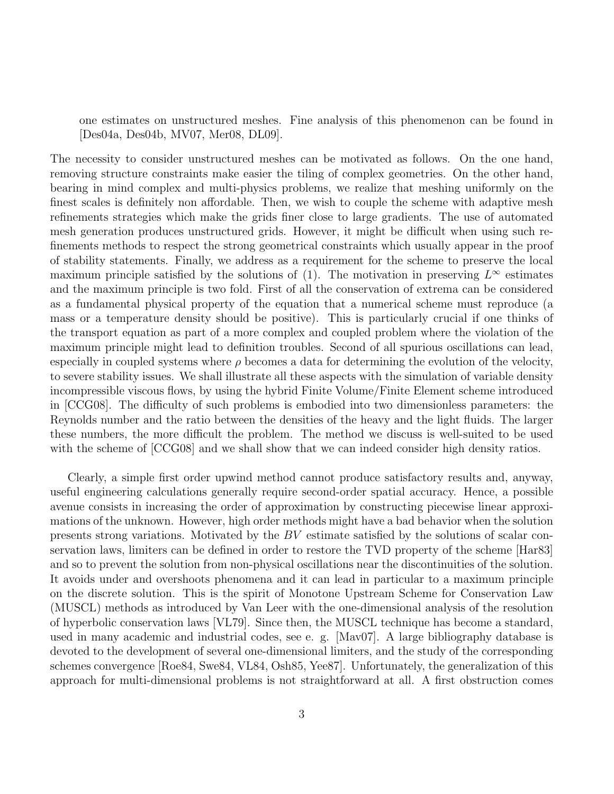one estimates on unstructured meshes. Fine analysis of this phenomenon can be found in [Des04a, Des04b, MV07, Mer08, DL09].

The necessity to consider unstructured meshes can be motivated as follows. On the one hand, removing structure constraints make easier the tiling of complex geometries. On the other hand, bearing in mind complex and multi-physics problems, we realize that meshing uniformly on the finest scales is definitely non affordable. Then, we wish to couple the scheme with adaptive mesh refinements strategies which make the grids finer close to large gradients. The use of automated mesh generation produces unstructured grids. However, it might be difficult when using such refinements methods to respect the strong geometrical constraints which usually appear in the proof of stability statements. Finally, we address as a requirement for the scheme to preserve the local maximum principle satisfied by the solutions of (1). The motivation in preserving  $L^{\infty}$  estimates and the maximum principle is two fold. First of all the conservation of extrema can be considered as a fundamental physical property of the equation that a numerical scheme must reproduce (a mass or a temperature density should be positive). This is particularly crucial if one thinks of the transport equation as part of a more complex and coupled problem where the violation of the maximum principle might lead to definition troubles. Second of all spurious oscillations can lead, especially in coupled systems where  $\rho$  becomes a data for determining the evolution of the velocity, to severe stability issues. We shall illustrate all these aspects with the simulation of variable density incompressible viscous flows, by using the hybrid Finite Volume/Finite Element scheme introduced in [CCG08]. The difficulty of such problems is embodied into two dimensionless parameters: the Reynolds number and the ratio between the densities of the heavy and the light fluids. The larger these numbers, the more difficult the problem. The method we discuss is well-suited to be used with the scheme of  $[CCG08]$  and we shall show that we can indeed consider high density ratios.

Clearly, a simple first order upwind method cannot produce satisfactory results and, anyway, useful engineering calculations generally require second-order spatial accuracy. Hence, a possible avenue consists in increasing the order of approximation by constructing piecewise linear approximations of the unknown. However, high order methods might have a bad behavior when the solution presents strong variations. Motivated by the BV estimate satisfied by the solutions of scalar conservation laws, limiters can be defined in order to restore the TVD property of the scheme [Har83] and so to prevent the solution from non-physical oscillations near the discontinuities of the solution. It avoids under and overshoots phenomena and it can lead in particular to a maximum principle on the discrete solution. This is the spirit of Monotone Upstream Scheme for Conservation Law (MUSCL) methods as introduced by Van Leer with the one-dimensional analysis of the resolution of hyperbolic conservation laws [VL79]. Since then, the MUSCL technique has become a standard, used in many academic and industrial codes, see e. g. [Mav07]. A large bibliography database is devoted to the development of several one-dimensional limiters, and the study of the corresponding schemes convergence [Roe84, Swe84, VL84, Osh85, Yee87]. Unfortunately, the generalization of this approach for multi-dimensional problems is not straightforward at all. A first obstruction comes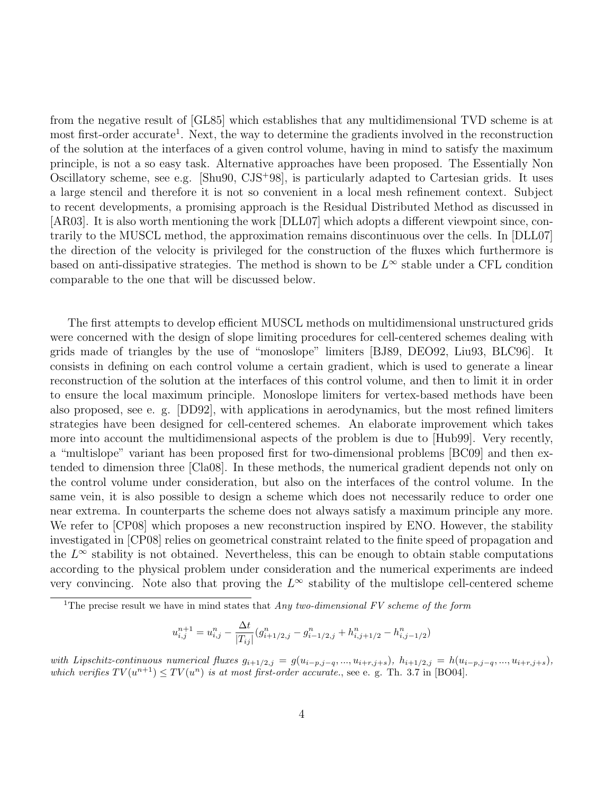from the negative result of [GL85] which establishes that any multidimensional TVD scheme is at most first-order accurate<sup>1</sup>. Next, the way to determine the gradients involved in the reconstruction of the solution at the interfaces of a given control volume, having in mind to satisfy the maximum principle, is not a so easy task. Alternative approaches have been proposed. The Essentially Non Oscillatory scheme, see e.g. [Shu90, CJS<sup>+</sup>98], is particularly adapted to Cartesian grids. It uses a large stencil and therefore it is not so convenient in a local mesh refinement context. Subject to recent developments, a promising approach is the Residual Distributed Method as discussed in [AR03]. It is also worth mentioning the work [DLL07] which adopts a different viewpoint since, contrarily to the MUSCL method, the approximation remains discontinuous over the cells. In [DLL07] the direction of the velocity is privileged for the construction of the fluxes which furthermore is based on anti-dissipative strategies. The method is shown to be  $L^{\infty}$  stable under a CFL condition comparable to the one that will be discussed below.

The first attempts to develop efficient MUSCL methods on multidimensional unstructured grids were concerned with the design of slope limiting procedures for cell-centered schemes dealing with grids made of triangles by the use of "monoslope" limiters [BJ89, DEO92, Liu93, BLC96]. It consists in defining on each control volume a certain gradient, which is used to generate a linear reconstruction of the solution at the interfaces of this control volume, and then to limit it in order to ensure the local maximum principle. Monoslope limiters for vertex-based methods have been also proposed, see e. g. [DD92], with applications in aerodynamics, but the most refined limiters strategies have been designed for cell-centered schemes. An elaborate improvement which takes more into account the multidimensional aspects of the problem is due to [Hub99]. Very recently, a "multislope" variant has been proposed first for two-dimensional problems [BC09] and then extended to dimension three [Cla08]. In these methods, the numerical gradient depends not only on the control volume under consideration, but also on the interfaces of the control volume. In the same vein, it is also possible to design a scheme which does not necessarily reduce to order one near extrema. In counterparts the scheme does not always satisfy a maximum principle any more. We refer to [CP08] which proposes a new reconstruction inspired by ENO. However, the stability investigated in [CP08] relies on geometrical constraint related to the finite speed of propagation and the  $L^{\infty}$  stability is not obtained. Nevertheless, this can be enough to obtain stable computations according to the physical problem under consideration and the numerical experiments are indeed very convincing. Note also that proving the  $L^{\infty}$  stability of the multislope cell-centered scheme

$$
u_{i,j}^{n+1} = u_{i,j}^n - \frac{\Delta t}{|T_{ij}|} (g_{i+1/2,j}^n - g_{i-1/2,j}^n + h_{i,j+1/2}^n - h_{i,j-1/2}^n)
$$

<sup>&</sup>lt;sup>1</sup>The precise result we have in mind states that  $Any two-dimensional FV scheme of the form$ 

with Lipschitz-continuous numerical fluxes  $g_{i+1/2,j} = g(u_{i-p,j-q},...,u_{i+r,j+s}), h_{i+1/2,j} = h(u_{i-p,j-q},...,u_{i+r,j+s}),$ which verifies  $TV(u^{n+1}) \leq TV(u^n)$  is at most first-order accurate., see e. g. Th. 3.7 in [BO04].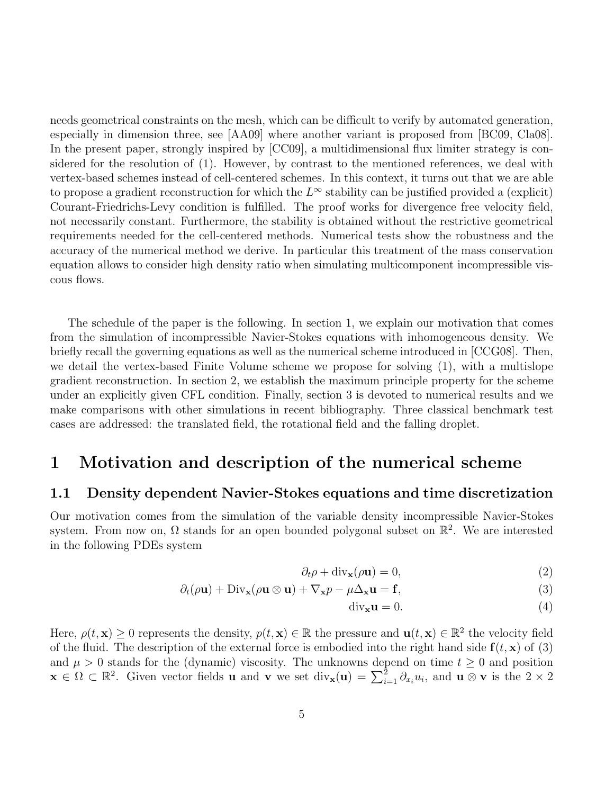needs geometrical constraints on the mesh, which can be difficult to verify by automated generation, especially in dimension three, see [AA09] where another variant is proposed from [BC09, Cla08]. In the present paper, strongly inspired by [CC09], a multidimensional flux limiter strategy is considered for the resolution of (1). However, by contrast to the mentioned references, we deal with vertex-based schemes instead of cell-centered schemes. In this context, it turns out that we are able to propose a gradient reconstruction for which the  $L^{\infty}$  stability can be justified provided a (explicit) Courant-Friedrichs-Levy condition is fulfilled. The proof works for divergence free velocity field, not necessarily constant. Furthermore, the stability is obtained without the restrictive geometrical requirements needed for the cell-centered methods. Numerical tests show the robustness and the accuracy of the numerical method we derive. In particular this treatment of the mass conservation equation allows to consider high density ratio when simulating multicomponent incompressible viscous flows.

The schedule of the paper is the following. In section 1, we explain our motivation that comes from the simulation of incompressible Navier-Stokes equations with inhomogeneous density. We briefly recall the governing equations as well as the numerical scheme introduced in [CCG08]. Then, we detail the vertex-based Finite Volume scheme we propose for solving (1), with a multislope gradient reconstruction. In section 2, we establish the maximum principle property for the scheme under an explicitly given CFL condition. Finally, section 3 is devoted to numerical results and we make comparisons with other simulations in recent bibliography. Three classical benchmark test cases are addressed: the translated field, the rotational field and the falling droplet.

### 1 Motivation and description of the numerical scheme

#### 1.1 Density dependent Navier-Stokes equations and time discretization

Our motivation comes from the simulation of the variable density incompressible Navier-Stokes system. From now on,  $\Omega$  stands for an open bounded polygonal subset on  $\mathbb{R}^2$ . We are interested in the following PDEs system

$$
\partial_t \rho + \text{div}_\mathbf{x}(\rho \mathbf{u}) = 0,\tag{2}
$$

$$
\partial_t(\rho \mathbf{u}) + \text{Div}_{\mathbf{x}}(\rho \mathbf{u} \otimes \mathbf{u}) + \nabla_{\mathbf{x}} p - \mu \Delta_{\mathbf{x}} \mathbf{u} = \mathbf{f},\tag{3}
$$

$$
\text{div}_{\mathbf{x}} \mathbf{u} = 0. \tag{4}
$$

Here,  $\rho(t, \mathbf{x}) \geq 0$  represents the density,  $p(t, \mathbf{x}) \in \mathbb{R}$  the pressure and  $\mathbf{u}(t, \mathbf{x}) \in \mathbb{R}^2$  the velocity field of the fluid. The description of the external force is embodied into the right hand side  $f(t, x)$  of (3) and  $\mu > 0$  stands for the (dynamic) viscosity. The unknowns depend on time  $t \geq 0$  and position  $\mathbf{x} \in \Omega \subset \mathbb{R}^2$ . Given vector fields **u** and **v** we set  $\text{div}_{\mathbf{x}}(\mathbf{u}) = \sum_{i=1}^2 \partial_{x_i} u_i$ , and **u**  $\otimes$  **v** is the  $2 \times 2$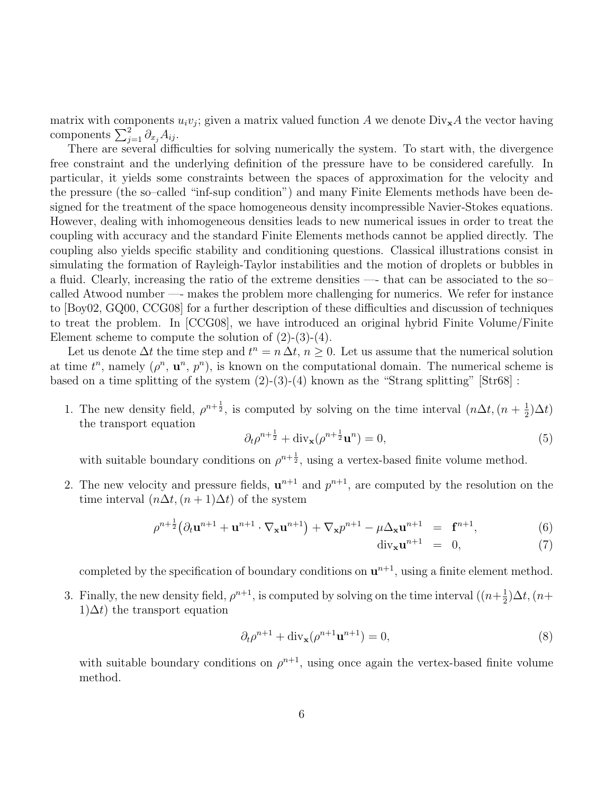matrix with components  $u_i v_j$ ; given a matrix valued function A we denote  $\text{Div}_{\mathbf{x}}A$  the vector having components  $\sum_{j=1}^{2} \partial_{x_j} A_{ij}$ .

There are several difficulties for solving numerically the system. To start with, the divergence free constraint and the underlying definition of the pressure have to be considered carefully. In particular, it yields some constraints between the spaces of approximation for the velocity and the pressure (the so–called "inf-sup condition") and many Finite Elements methods have been designed for the treatment of the space homogeneous density incompressible Navier-Stokes equations. However, dealing with inhomogeneous densities leads to new numerical issues in order to treat the coupling with accuracy and the standard Finite Elements methods cannot be applied directly. The coupling also yields specific stability and conditioning questions. Classical illustrations consist in simulating the formation of Rayleigh-Taylor instabilities and the motion of droplets or bubbles in a fluid. Clearly, increasing the ratio of the extreme densities —- that can be associated to the so– called Atwood number —- makes the problem more challenging for numerics. We refer for instance to [Boy02, GQ00, CCG08] for a further description of these difficulties and discussion of techniques to treat the problem. In [CCG08], we have introduced an original hybrid Finite Volume/Finite Element scheme to compute the solution of  $(2)-(3)-(4)$ .

Let us denote  $\Delta t$  the time step and  $t^n = n \Delta t$ ,  $n \geq 0$ . Let us assume that the numerical solution at time  $t^n$ , namely  $(\rho^n, \mathbf{u}^n, p^n)$ , is known on the computational domain. The numerical scheme is based on a time splitting of the system  $(2)-(3)-(4)$  known as the "Strang splitting" [Str68] :

1. The new density field,  $\rho^{n+\frac{1}{2}}$ , is computed by solving on the time interval  $(n\Delta t, (n+\frac{1}{2}))$  $(\frac{1}{2})\Delta t$ the transport equation

$$
\partial_t \rho^{n+\frac{1}{2}} + \text{div}_\mathbf{x}(\rho^{n+\frac{1}{2}} \mathbf{u}^n) = 0,\tag{5}
$$

with suitable boundary conditions on  $\rho^{n+\frac{1}{2}}$ , using a vertex-based finite volume method.

2. The new velocity and pressure fields,  $\mathbf{u}^{n+1}$  and  $p^{n+1}$ , are computed by the resolution on the time interval  $(n\Delta t, (n+1)\Delta t)$  of the system

$$
\rho^{n+\frac{1}{2}}(\partial_t \mathbf{u}^{n+1} + \mathbf{u}^{n+1} \cdot \nabla_{\mathbf{x}} \mathbf{u}^{n+1}) + \nabla_{\mathbf{x}} p^{n+1} - \mu \Delta_{\mathbf{x}} \mathbf{u}^{n+1} = \mathbf{f}^{n+1},
$$
(6)

$$
\operatorname{div}_{\mathbf{x}} \mathbf{u}^{n+1} = 0, \tag{7}
$$

completed by the specification of boundary conditions on  $\mathbf{u}^{n+1}$ , using a finite element method.

3. Finally, the new density field,  $\rho^{n+1}$ , is computed by solving on the time interval  $((n+\frac{1}{2})^2)$  $\frac{1}{2}$ ) $\Delta t$ , (n+  $1\Delta t$ ) the transport equation

$$
\partial_t \rho^{n+1} + \operatorname{div}_\mathbf{x} (\rho^{n+1} \mathbf{u}^{n+1}) = 0,\tag{8}
$$

with suitable boundary conditions on  $\rho^{n+1}$ , using once again the vertex-based finite volume method.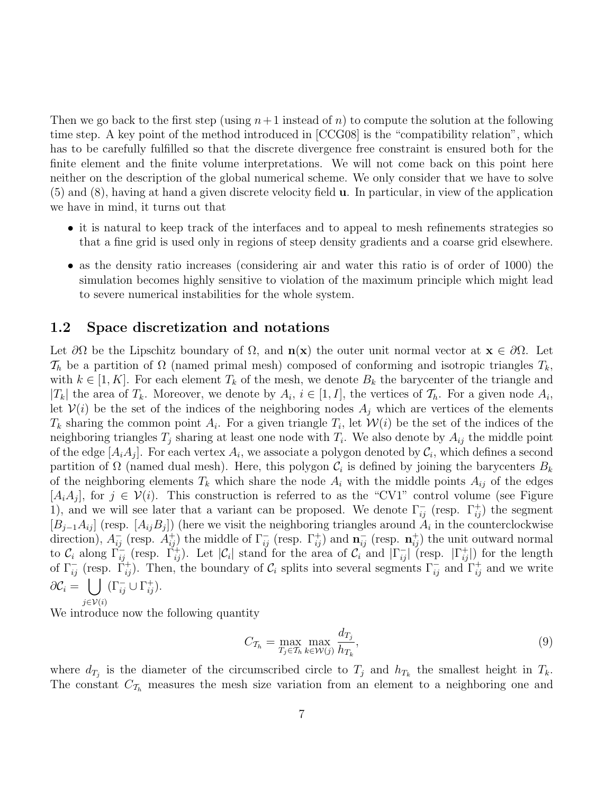Then we go back to the first step (using  $n+1$  instead of n) to compute the solution at the following time step. A key point of the method introduced in [CCG08] is the "compatibility relation", which has to be carefully fulfilled so that the discrete divergence free constraint is ensured both for the finite element and the finite volume interpretations. We will not come back on this point here neither on the description of the global numerical scheme. We only consider that we have to solve (5) and (8), having at hand a given discrete velocity field u. In particular, in view of the application we have in mind, it turns out that

- it is natural to keep track of the interfaces and to appeal to mesh refinements strategies so that a fine grid is used only in regions of steep density gradients and a coarse grid elsewhere.
- as the density ratio increases (considering air and water this ratio is of order of 1000) the simulation becomes highly sensitive to violation of the maximum principle which might lead to severe numerical instabilities for the whole system.

#### 1.2 Space discretization and notations

Let  $\partial\Omega$  be the Lipschitz boundary of  $\Omega$ , and  $\mathbf{n}(\mathbf{x})$  the outer unit normal vector at  $\mathbf{x} \in \partial\Omega$ . Let  $\mathcal{T}_h$  be a partition of  $\Omega$  (named primal mesh) composed of conforming and isotropic triangles  $T_k$ , with  $k \in [1, K]$ . For each element  $T_k$  of the mesh, we denote  $B_k$  the barycenter of the triangle and  $|T_k|$  the area of  $T_k$ . Moreover, we denote by  $A_i$ ,  $i \in [1, I]$ , the vertices of  $\mathcal{T}_h$ . For a given node  $A_i$ , let  $V(i)$  be the set of the indices of the neighboring nodes  $A_i$  which are vertices of the elements  $T_k$  sharing the common point  $A_i$ . For a given triangle  $T_i$ , let  $\mathcal{W}(i)$  be the set of the indices of the neighboring triangles  $T_j$  sharing at least one node with  $T_i$ . We also denote by  $A_{ij}$  the middle point of the edge  $[A_i A_j]$ . For each vertex  $A_i$ , we associate a polygon denoted by  $\mathcal{C}_i$ , which defines a second partition of  $\Omega$  (named dual mesh). Here, this polygon  $\mathcal{C}_i$  is defined by joining the barycenters  $B_k$ of the neighboring elements  $T_k$  which share the node  $A_i$  with the middle points  $A_{ij}$  of the edges  $[A_i A_j]$ , for  $j \in V(i)$ . This construction is referred to as the "CV1" control volume (see Figure 1), and we will see later that a variant can be proposed. We denote  $\Gamma_{ij}^-$  (resp.  $\Gamma_{ij}^+$ ) the segment  $[B_{j-1}A_{ij}]$  (resp.  $[A_{ij}B_j]$ ) (here we visit the neighboring triangles around  $A_i$  in the counterclockwise direction),  $A_{ij}^-$  (resp.  $A_{ij}^+$ ) the middle of  $\Gamma_{ij}^-$  (resp.  $\Gamma_{ij}^+$ ) and  $\mathbf{n}_{ij}^-$  (resp.  $\mathbf{n}_{ij}^+$ ) the unit outward normal to  $\mathcal{C}_i$  along  $\overline{\Gamma}_{ij}^-$  (resp.  $\overline{\Gamma}_{ij}^+$ ). Let  $|\mathcal{C}_i|$  stand for the area of  $\overline{\mathcal{C}_i}$  and  $|\Gamma_{ij}^-|$  (resp.  $|\Gamma_{ij}^+|$ ) for the length of  $\Gamma_{ij}^-$  (resp.  $\Gamma_{ij}^+$ ). Then, the boundary of  $\mathcal{C}_i$  splits into several segments  $\Gamma_{ij}^-$  and  $\Gamma_{ij}^+$  and we write  $\partial \mathcal{C}_i = \left. \begin{array}{c} \end{array} \right|$  $j\in\mathcal{V}(i)$  $(\Gamma_{ij}^- \cup \Gamma_{ij}^+).$ 

We introduce now the following quantity

$$
C_{\mathcal{T}_h} = \max_{T_j \in \mathcal{T}_h} \max_{k \in \mathcal{W}(j)} \frac{d_{T_j}}{h_{T_k}},\tag{9}
$$

where  $d_{T_j}$  is the diameter of the circumscribed circle to  $T_j$  and  $h_{T_k}$  the smallest height in  $T_k$ . The constant  $C_{\mathcal{T}_h}$  measures the mesh size variation from an element to a neighboring one and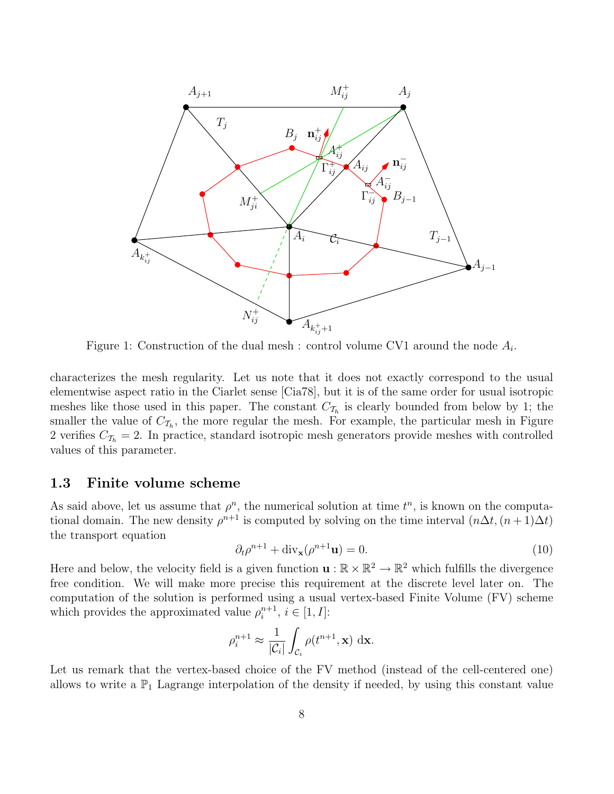

Figure 1: Construction of the dual mesh : control volume CV1 around the node  $A_i$ .

characterizes the mesh regularity. Let us note that it does not exactly correspond to the usual elementwise aspect ratio in the Ciarlet sense [Cia78], but it is of the same order for usual isotropic meshes like those used in this paper. The constant  $C_{\mathcal{T}_h}$  is clearly bounded from below by 1; the smaller the value of  $C_{\mathcal{T}_h}$ , the more regular the mesh. For example, the particular mesh in Figure 2 verifies  $C_{\mathcal{T}_h} = 2$ . In practice, standard isotropic mesh generators provide meshes with controlled values of this parameter.

#### 1.3 Finite volume scheme

As said above, let us assume that  $\rho^n$ , the numerical solution at time  $t^n$ , is known on the computational domain. The new density  $\rho^{n+1}$  is computed by solving on the time interval  $(n\Delta t, (n+1)\Delta t)$ the transport equation

$$
\partial_t \rho^{n+1} + \text{div}_\mathbf{x}(\rho^{n+1}\mathbf{u}) = 0. \tag{10}
$$

Here and below, the velocity field is a given function  $\mathbf{u}: \mathbb{R} \times \mathbb{R}^2 \to \mathbb{R}^2$  which fulfills the divergence free condition. We will make more precise this requirement at the discrete level later on. The computation of the solution is performed using a usual vertex-based Finite Volume (FV) scheme which provides the approximated value  $\rho_i^{n+1}$  $i^{n+1}, i \in [1, I]$ :

$$
\rho_i^{n+1} \approx \frac{1}{|\mathcal{C}_i|} \int_{\mathcal{C}_i} \rho(t^{n+1}, \mathbf{x}) \, \mathrm{d}\mathbf{x}.
$$

Let us remark that the vertex-based choice of the FV method (instead of the cell-centered one) allows to write a  $\mathbb{P}_1$  Lagrange interpolation of the density if needed, by using this constant value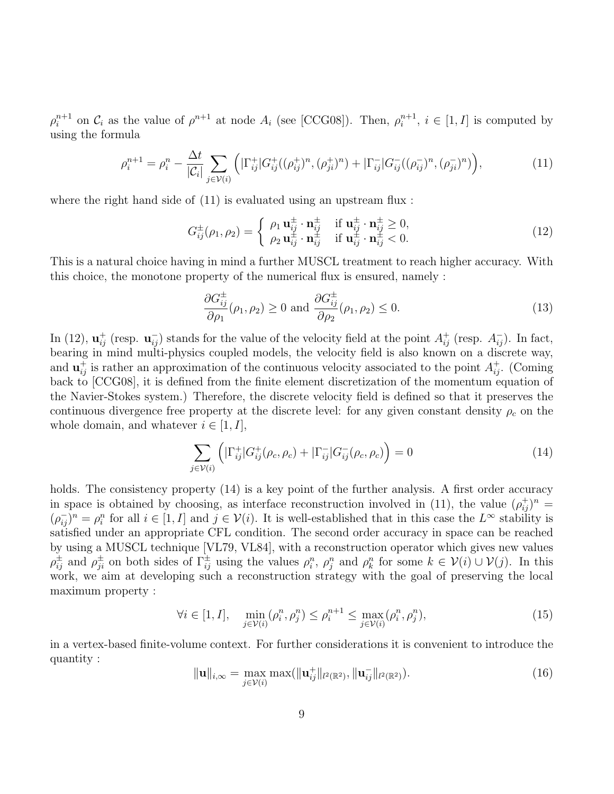$\rho_i^{n+1}$  $i^{n+1}$  on  $C_i$  as the value of  $\rho^{n+1}$  at node  $A_i$  (see [CCG08]). Then,  $\rho_i^{n+1}$  $i^{n+1}$ ,  $i \in [1, I]$  is computed by using the formula

$$
\rho_i^{n+1} = \rho_i^n - \frac{\Delta t}{|\mathcal{C}_i|} \sum_{j \in \mathcal{V}(i)} \left( |\Gamma_{ij}^+| G_{ij}^+((\rho_{ij}^+)^n, (\rho_{ji}^+)^n) + |\Gamma_{ij}^-| G_{ij}^-((\rho_{ij}^-)^n, (\rho_{ji}^-)^n) \right), \tag{11}
$$

where the right hand side of  $(11)$  is evaluated using an upstream flux :

$$
G_{ij}^{\pm}(\rho_1, \rho_2) = \begin{cases} \rho_1 \mathbf{u}_{ij}^{\pm} \cdot \mathbf{n}_{ij}^{\pm} & \text{if } \mathbf{u}_{ij}^{\pm} \cdot \mathbf{n}_{ij}^{\pm} \ge 0, \\ \rho_2 \mathbf{u}_{ij}^{\pm} \cdot \mathbf{n}_{ij}^{\pm} & \text{if } \mathbf{u}_{ij}^{\pm} \cdot \mathbf{n}_{ij}^{\pm} < 0. \end{cases}
$$
(12)

This is a natural choice having in mind a further MUSCL treatment to reach higher accuracy. With this choice, the monotone property of the numerical flux is ensured, namely :

$$
\frac{\partial G_{ij}^{\pm}}{\partial \rho_1}(\rho_1, \rho_2) \ge 0 \text{ and } \frac{\partial G_{ij}^{\pm}}{\partial \rho_2}(\rho_1, \rho_2) \le 0. \tag{13}
$$

In (12),  $\mathbf{u}_{ij}^+$  (resp.  $\mathbf{u}_{ij}^-$ ) stands for the value of the velocity field at the point  $A_{ij}^+$  (resp.  $A_{ij}^-$ ). In fact, bearing in mind multi-physics coupled models, the velocity field is also known on a discrete way, and  $\mathbf{u}_{ij}^+$  is rather an approximation of the continuous velocity associated to the point  $A_{ij}^+$ . (Coming back to [CCG08], it is defined from the finite element discretization of the momentum equation of the Navier-Stokes system.) Therefore, the discrete velocity field is defined so that it preserves the continuous divergence free property at the discrete level: for any given constant density  $\rho_c$  on the whole domain, and whatever  $i \in [1, I]$ ,

$$
\sum_{j \in \mathcal{V}(i)} \left( |\Gamma_{ij}^+| G_{ij}^+(\rho_c, \rho_c) + |\Gamma_{ij}^-| G_{ij}^-(\rho_c, \rho_c) \right) = 0 \tag{14}
$$

holds. The consistency property  $(14)$  is a key point of the further analysis. A first order accuracy in space is obtained by choosing, as interface reconstruction involved in (11), the value  $(\rho_{ij}^+)^n$  $(\rho_{ij}^-)^n = \rho_i^n$  for all  $i \in [1, I]$  and  $j \in \mathcal{V}(i)$ . It is well-established that in this case the  $L^\infty$  stability is satisfied under an appropriate CFL condition. The second order accuracy in space can be reached by using a MUSCL technique [VL79, VL84], with a reconstruction operator which gives new values  $\rho_{ij}^{\pm}$  and  $\rho_{ji}^{\pm}$  on both sides of  $\Gamma_{ij}^{\pm}$  using the values  $\rho_i^n$ ,  $\rho_j^n$  and  $\rho_k^n$  for some  $k \in \mathcal{V}(i) \cup \mathcal{V}(j)$ . In this work, we aim at developing such a reconstruction strategy with the goal of preserving the local maximum property :

$$
\forall i \in [1, I], \quad \min_{j \in \mathcal{V}(i)} (\rho_i^n, \rho_j^n) \le \rho_i^{n+1} \le \max_{j \in \mathcal{V}(i)} (\rho_i^n, \rho_j^n), \tag{15}
$$

in a vertex-based finite-volume context. For further considerations it is convenient to introduce the quantity :

$$
\|\mathbf{u}\|_{i,\infty} = \max_{j \in \mathcal{V}(i)} \max(\|\mathbf{u}_{ij}^+\|_{l^2(\mathbb{R}^2)}, \|\mathbf{u}_{ij}^-\|_{l^2(\mathbb{R}^2)}). \tag{16}
$$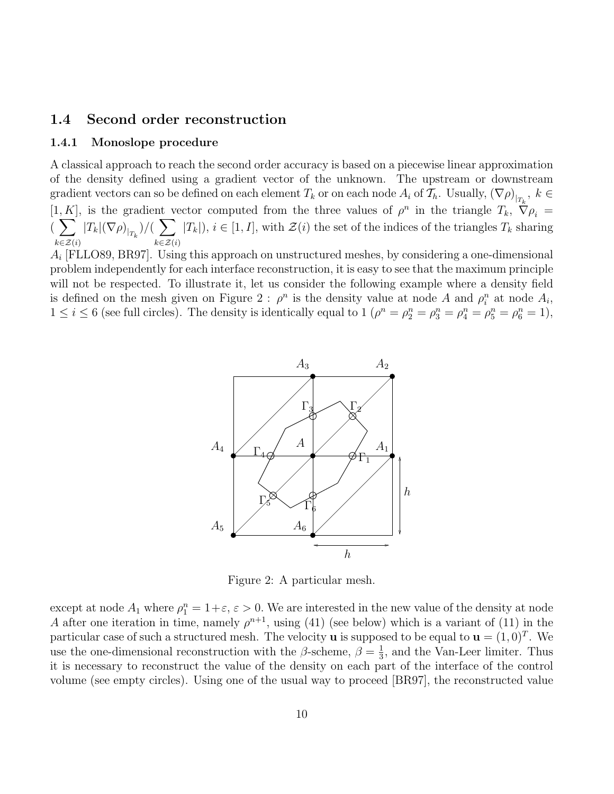#### 1.4 Second order reconstruction

#### 1.4.1 Monoslope procedure

A classical approach to reach the second order accuracy is based on a piecewise linear approximation of the density defined using a gradient vector of the unknown. The upstream or downstream gradient vectors can so be defined on each element  $T_k$  or on each node  $A_i$  of  $\mathcal{T}_h$ . Usually,  $(\nabla \rho)_{|_{T_k}},\ k\in$ [1, K], is the gradient vector computed from the three values of  $\rho^n$  in the triangle  $T_k$ ,  $\tilde{\nabla}\rho_i$  =  $(\sum$  $k\in\mathcal{Z}(i)$  $|T_k|(\nabla \rho)_{|_{T_k}})/(\sum$  $k\in\mathcal{Z}(i)$  $|T_k|, i \in [1, I],$  with  $\mathcal{Z}(i)$  the set of the indices of the triangles  $T_k$  sharing

 $A_i$  [FLLO89, BR97]. Using this approach on unstructured meshes, by considering a one-dimensional problem independently for each interface reconstruction, it is easy to see that the maximum principle will not be respected. To illustrate it, let us consider the following example where a density field is defined on the mesh given on Figure 2:  $\rho^n$  is the density value at node A and  $\rho_i^n$  at node  $A_i$ ,  $1 \leq i \leq 6$  (see full circles). The density is identically equal to  $1$   $(\rho^{n} = \rho_{2}^{n} = \rho_{3}^{n} = \rho_{4}^{n} = \rho_{5}^{n} = \rho_{6}^{n} = 1)$ ,



Figure 2: A particular mesh.

except at node  $A_1$  where  $\rho_1^n = 1 + \varepsilon$ ,  $\varepsilon > 0$ . We are interested in the new value of the density at node A after one iteration in time, namely  $\rho^{n+1}$ , using (41) (see below) which is a variant of (11) in the particular case of such a structured mesh. The velocity **u** is supposed to be equal to  $\mathbf{u} = (1,0)^T$ . We use the one-dimensional reconstruction with the  $\beta$ -scheme,  $\beta = \frac{1}{3}$  $\frac{1}{3}$ , and the Van-Leer limiter. Thus it is necessary to reconstruct the value of the density on each part of the interface of the control volume (see empty circles). Using one of the usual way to proceed [BR97], the reconstructed value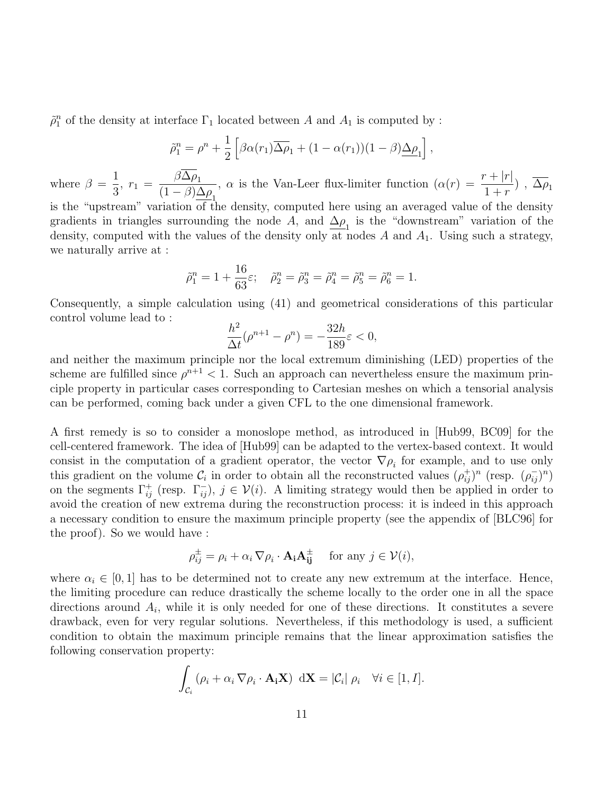$\tilde{\rho}_1^n$  of the density at interface  $\Gamma_1$  located between A and  $A_1$  is computed by :

$$
\tilde{\rho}_1^n = \rho^n + \frac{1}{2} \left[ \beta \alpha(r_1) \overline{\Delta \rho}_1 + (1 - \alpha(r_1)) (1 - \beta) \underline{\Delta \rho}_1 \right],
$$

where  $\beta =$ 1  $\frac{1}{3}$ ,  $r_1 = \frac{\beta \Delta \rho_1}{(1 - \beta)\Delta}$  $(1 - \beta) \underline{\Delta \rho}_1$ ,  $\alpha$  is the Van-Leer flux-limiter function  $(\alpha(r) = \frac{r + |r|}{r})$  $\frac{1+r-1}{1+r}$ ,  $\Delta \rho_1$ is the "upstream" variation of the density, computed here using an averaged value of the density gradients in triangles surrounding the node A, and  $\underline{\Delta \rho}_1$  is the "downstream" variation of the density, computed with the values of the density only at nodes  $A$  and  $A_1$ . Using such a strategy, we naturally arrive at :

$$
\tilde{\rho}_1^n = 1 + \frac{16}{63}\varepsilon
$$
;  $\tilde{\rho}_2^n = \tilde{\rho}_3^n = \tilde{\rho}_4^n = \tilde{\rho}_5^n = \tilde{\rho}_6^n = 1$ .

Consequently, a simple calculation using (41) and geometrical considerations of this particular control volume lead to :

$$
\frac{h^2}{\Delta t}(\rho^{n+1} - \rho^n) = -\frac{32h}{189}\varepsilon < 0,
$$

and neither the maximum principle nor the local extremum diminishing (LED) properties of the scheme are fulfilled since  $\rho^{n+1}$  < 1. Such an approach can nevertheless ensure the maximum principle property in particular cases corresponding to Cartesian meshes on which a tensorial analysis can be performed, coming back under a given CFL to the one dimensional framework.

A first remedy is so to consider a monoslope method, as introduced in [Hub99, BC09] for the cell-centered framework. The idea of [Hub99] can be adapted to the vertex-based context. It would consist in the computation of a gradient operator, the vector  $\nabla \rho_i$  for example, and to use only this gradient on the volume  $\mathcal{C}_i$  in order to obtain all the reconstructed values  $(\rho_{ij}^+)^n$  (resp.  $(\rho_{ij}^-)^n$ ) on the segments  $\Gamma_{ij}^+$  (resp.  $\Gamma_{ij}^-$ ),  $j \in \mathcal{V}(i)$ . A limiting strategy would then be applied in order to avoid the creation of new extrema during the reconstruction process: it is indeed in this approach a necessary condition to ensure the maximum principle property (see the appendix of [BLC96] for the proof). So we would have :

$$
\rho_{ij}^{\pm} = \rho_i + \alpha_i \, \nabla \rho_i \cdot \mathbf{A_i} \mathbf{A_{ij}^{\pm}} \quad \text{ for any } j \in \mathcal{V}(i),
$$

where  $\alpha_i \in [0,1]$  has to be determined not to create any new extremum at the interface. Hence, the limiting procedure can reduce drastically the scheme locally to the order one in all the space directions around  $A_i$ , while it is only needed for one of these directions. It constitutes a severe drawback, even for very regular solutions. Nevertheless, if this methodology is used, a sufficient condition to obtain the maximum principle remains that the linear approximation satisfies the following conservation property:

$$
\int_{\mathcal{C}_i} (\rho_i + \alpha_i \nabla \rho_i \cdot \mathbf{A}_i \mathbf{X}) d\mathbf{X} = |\mathcal{C}_i| \rho_i \quad \forall i \in [1, I].
$$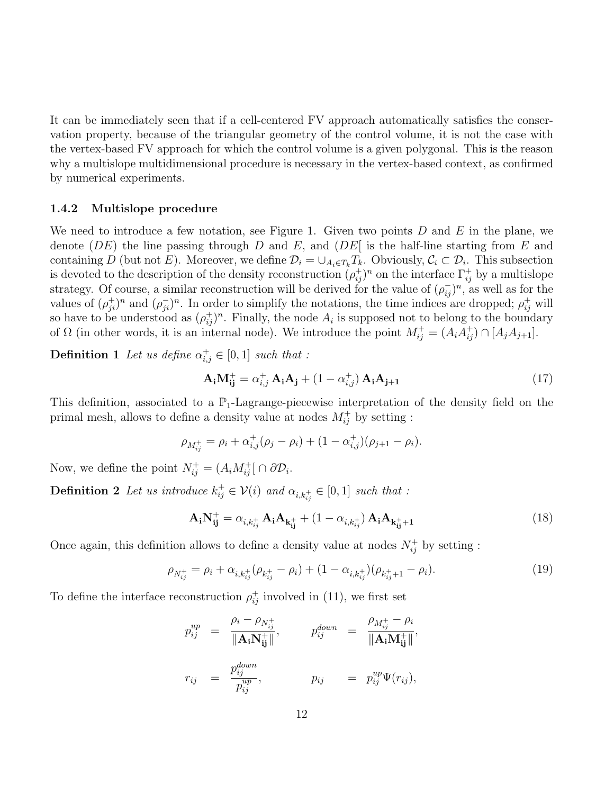It can be immediately seen that if a cell-centered FV approach automatically satisfies the conservation property, because of the triangular geometry of the control volume, it is not the case with the vertex-based FV approach for which the control volume is a given polygonal. This is the reason why a multislope multidimensional procedure is necessary in the vertex-based context, as confirmed by numerical experiments.

#### 1.4.2 Multislope procedure

We need to introduce a few notation, see Figure 1. Given two points  $D$  and  $E$  in the plane, we denote (DE) the line passing through D and E, and (DE) is the half-line starting from E and containing D (but not E). Moreover, we define  $\mathcal{D}_i = \bigcup_{A_i \in T_k} T_k$ . Obviously,  $\mathcal{C}_i \subset \mathcal{D}_i$ . This subsection is devoted to the description of the density reconstruction  $(\rho_{ij}^+)^n$  on the interface  $\Gamma_{ij}^+$  by a multislope strategy. Of course, a similar reconstruction will be derived for the value of  $(\rho_{ij}^-)^n$ , as well as for the values of  $(\rho_{ji}^+)^n$  and  $(\rho_{ji}^-)^n$ . In order to simplify the notations, the time indices are dropped;  $\rho_{ij}^+$  will so have to be understood as  $(\rho_{ij}^+)^n$ . Finally, the node  $A_i$  is supposed not to belong to the boundary of  $\Omega$  (in other words, it is an internal node). We introduce the point  $M_{ij}^+ = (A_i A_{ij}^+) \cap [A_j A_{j+1}]$ .

**Definition 1** Let us define  $\alpha_{i,j}^+ \in [0,1]$  such that :

$$
\mathbf{A}_{i}\mathbf{M}_{ij}^{+} = \alpha_{i,j}^{+}\mathbf{A}_{i}\mathbf{A}_{j} + (1 - \alpha_{i,j}^{+})\mathbf{A}_{i}\mathbf{A}_{j+1}
$$
\n(17)

This definition, associated to a  $\mathbb{P}_1$ -Lagrange-piecewise interpretation of the density field on the primal mesh, allows to define a density value at nodes  $M_{ij}^{+}$  by setting :

$$
\rho_{M_{ij}^+} = \rho_i + \alpha_{i,j}^+ (\rho_j - \rho_i) + (1 - \alpha_{i,j}^+) (\rho_{j+1} - \rho_i).
$$

Now, we define the point  $N_{ij}^+ = (A_i M_{ij}^+ | \cap \partial \mathcal{D}_i)$ .

**Definition 2** Let us introduce  $k_{ij}^+ \in V(i)$  and  $\alpha_{i,k_{ij}^+} \in [0,1]$  such that :

$$
\mathbf{A}_{i}\mathbf{N}_{ij}^{+} = \alpha_{i,k_{ij}^{+}}\mathbf{A}_{i}\mathbf{A}_{k_{ij}^{+}} + (1 - \alpha_{i,k_{ij}^{+}})\mathbf{A}_{i}\mathbf{A}_{k_{ij}^{+}+1}
$$
(18)

Once again, this definition allows to define a density value at nodes  $N_{ij}^+$  by setting :

$$
\rho_{N_{ij}^+} = \rho_i + \alpha_{i,k_{ij}^+} (\rho_{k_{ij}^+} - \rho_i) + (1 - \alpha_{i,k_{ij}^+}) (\rho_{k_{ij}^+ + 1} - \rho_i). \tag{19}
$$

To define the interface reconstruction  $\rho_{ij}^+$  involved in (11), we first set

$$
p_{ij}^{up} = \frac{\rho_i - \rho_{N_{ij}^+}}{\|\mathbf{A_i N_{ij}^+}\|}, \qquad p_{ij}^{down} = \frac{\rho_{M_{ij}^+} - \rho_i}{\|\mathbf{A_i M_{ij}^+}\|},
$$
  

$$
r_{ij} = \frac{p_{ij}^{down}}{p_{ij}^{up}}, \qquad p_{ij} = p_{ij}^{up} \Psi(r_{ij}),
$$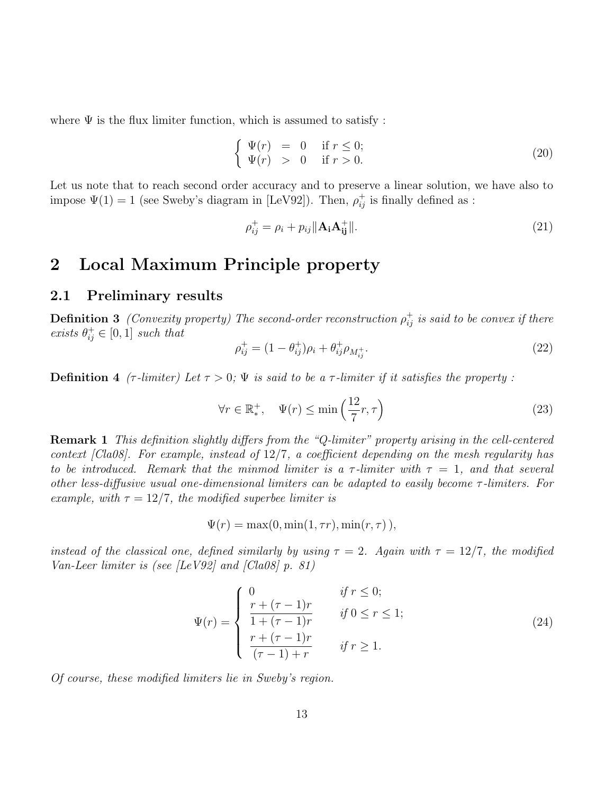where  $\Psi$  is the flux limiter function, which is assumed to satisfy :

$$
\begin{cases}\n\Psi(r) = 0 & \text{if } r \le 0; \\
\Psi(r) > 0 & \text{if } r > 0.\n\end{cases}
$$
\n(20)

Let us note that to reach second order accuracy and to preserve a linear solution, we have also to impose  $\Psi(1) = 1$  (see Sweby's diagram in [LeV92]). Then,  $\rho_{ij}^+$  is finally defined as :

$$
\rho_{ij}^+ = \rho_i + p_{ij} \|\mathbf{A}_i \mathbf{A}_{ij}^+\|.\tag{21}
$$

### 2 Local Maximum Principle property

#### 2.1 Preliminary results

**Definition 3** (Convexity property) The second-order reconstruction  $\rho_{ij}^+$  is said to be convex if there exists  $\theta_{ij}^+ \in [0,1]$  such that

$$
\rho_{ij}^+ = (1 - \theta_{ij}^+) \rho_i + \theta_{ij}^+ \rho_{M_{ij}^+}.
$$
\n(22)

**Definition 4** ( $\tau$ -limiter) Let  $\tau > 0$ ;  $\Psi$  is said to be a  $\tau$ -limiter if it satisfies the property:

$$
\forall r \in \mathbb{R}_*^+, \quad \Psi(r) \le \min\left(\frac{12}{7}r, \tau\right) \tag{23}
$$

Remark 1 This definition slightly differs from the "Q-limiter" property arising in the cell-centered context [Cla08]. For example, instead of 12/7, a coefficient depending on the mesh regularity has to be introduced. Remark that the minmod limiter is a  $\tau$ -limiter with  $\tau = 1$ , and that several other less-diffusive usual one-dimensional limiters can be adapted to easily become  $\tau$ -limiters. For example, with  $\tau = 12/7$ , the modified superbee limiter is

$$
\Psi(r) = \max(0, \min(1, \tau r), \min(r, \tau)),
$$

instead of the classical one, defined similarly by using  $\tau = 2$ . Again with  $\tau = 12/7$ , the modified Van-Leer limiter is (see [LeV92] and [Cla08]  $p. 81$ ]

$$
\Psi(r) = \begin{cases}\n0 & \text{if } r \le 0; \\
\frac{r + (\tau - 1)r}{1 + (\tau - 1)r} & \text{if } 0 \le r \le 1; \\
\frac{r + (\tau - 1)r}{(\tau - 1) + r} & \text{if } r \ge 1.\n\end{cases}
$$
\n(24)

Of course, these modified limiters lie in Sweby's region.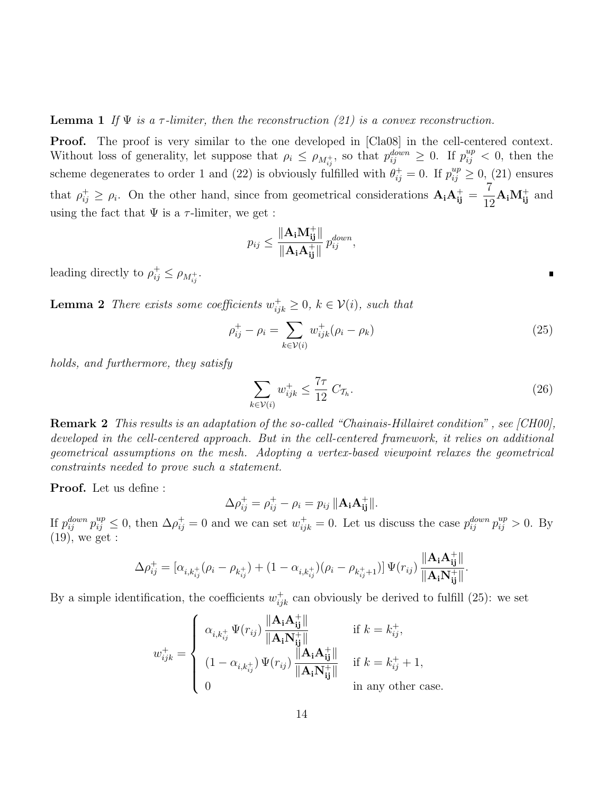#### **Lemma 1** If  $\Psi$  is a  $\tau$ -limiter, then the reconstruction (21) is a convex reconstruction.

**Proof.** The proof is very similar to the one developed in [Cla08] in the cell-centered context. Without loss of generality, let suppose that  $\rho_i \leq \rho_{M_{ij}^+}$ , so that  $p_{ij}^{down} \geq 0$ . If  $p_{ij}^{up} < 0$ , then the scheme degenerates to order 1 and (22) is obviously fulfilled with  $\theta_{ij}^+ = 0$ . If  $p_{ij}^{up} \ge 0$ , (21) ensures that  $\rho_{ij}^+ \geq \rho_i$ . On the other hand, since from geometrical considerations  $A_i A_{ij}^+$ 7  $\frac{1}{12}$ **A**<sub>i</sub>**M**<sup>+</sup><sub>ij</sub> and using the fact that  $\Psi$  is a  $\tau$ -limiter, we get :

$$
p_{ij} \leq \frac{\|\mathbf{A_i}\mathbf{M_{ij}^+}\|}{\|\mathbf{A_i}\mathbf{A_{ij}^+}\|} p_{ij}^{down},
$$

leading directly to  $\rho_{ij}^+ \leq \rho_{M_{ij}^+}$ .

**Lemma 2** There exists some coefficients  $w_{ijk}^{\dagger} \geq 0$ ,  $k \in V(i)$ , such that

$$
\rho_{ij}^+ - \rho_i = \sum_{k \in \mathcal{V}(i)} w_{ijk}^+(\rho_i - \rho_k)
$$
\n(25)

holds, and furthermore, they satisfy

$$
\sum_{k \in \mathcal{V}(i)} w_{ijk}^+ \le \frac{7\tau}{12} C_{\mathcal{T}_h}.\tag{26}
$$

Remark 2 This results is an adaptation of the so-called "Chainais-Hillairet condition" , see [CH00], developed in the cell-centered approach. But in the cell-centered framework, it relies on additional geometrical assumptions on the mesh. Adopting a vertex-based viewpoint relaxes the geometrical constraints needed to prove such a statement.

Proof. Let us define :

$$
\Delta \rho_{ij}^+ = \rho_{ij}^+ - \rho_i = p_{ij} \|\mathbf{A}_i \mathbf{A}_{ij}^+\|.
$$

If  $p_{ij}^{down} p_{ij}^{up} \leq 0$ , then  $\Delta \rho_{ij}^{+} = 0$  and we can set  $w_{ijk}^{+} = 0$ . Let us discuss the case  $p_{ij}^{down} p_{ij}^{up} > 0$ . By (19), we get :

$$
\Delta \rho_{ij}^+ = [\alpha_{i,k_{ij}^+}(\rho_i - \rho_{k_{ij}^+}) + (1-\alpha_{i,k_{ij}^+})(\rho_i - \rho_{k_{ij}^+ + 1})] \Psi(r_{ij}) \, \frac{\| \mathbf{A_i} \mathbf{A_{ij}^+} \|}{\| \mathbf{A_i} \mathbf{N_{ij}^+} \|}.
$$

By a simple identification, the coefficients  $w_{ijk}^+$  can obviously be derived to fulfill (25): we set

$$
w_{ijk}^+ = \left\{ \begin{array}{ll} \alpha_{i,k_{ij}^+} \Psi(r_{ij}) \, \frac{\|\mathbf{A_i} \mathbf{A_{ij}^+}\|}{\|\mathbf{A_i} \mathbf{N_{ij}^+}\|} & \text{if } k = k_{ij}^+, \\[1.5mm] (1-\alpha_{i,k_{ij}^+}) \, \Psi(r_{ij}) \, \frac{\|\mathbf{A_i} \mathbf{A_{ij}^+}\|}{\|\mathbf{A_i} \mathbf{N_{ij}^+}\|} & \text{if } k = k_{ij}^+ + 1, \\[1.5mm] 0 & \text{in any other case.} \end{array} \right.
$$

 $\blacksquare$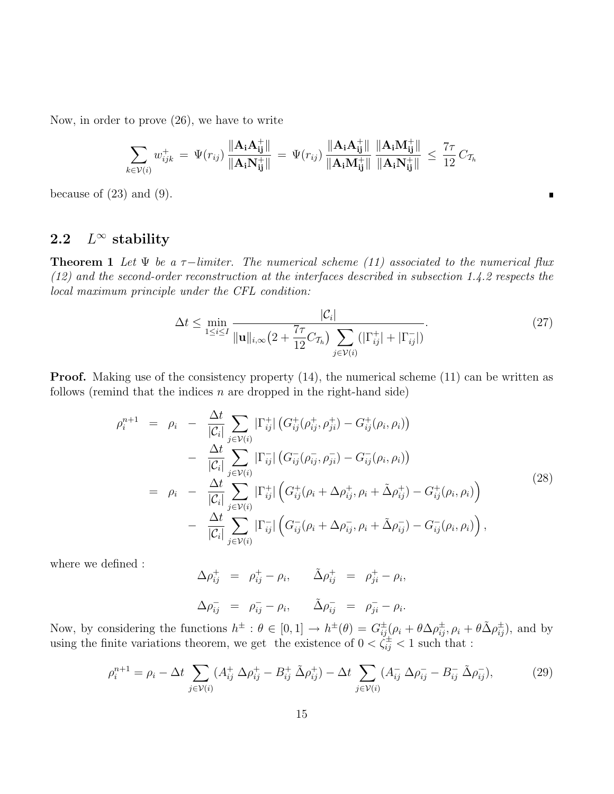Now, in order to prove (26), we have to write

$$
\sum_{k \in \mathcal{V}(i)} w_{ijk}^+ = \Psi(r_{ij}) \frac{\|\mathbf{A}_i \mathbf{A}_{ij}^+\|}{\|\mathbf{A}_i \mathbf{N}_{ij}^+\|} = \Psi(r_{ij}) \frac{\|\mathbf{A}_i \mathbf{A}_{ij}^+\|}{\|\mathbf{A}_i \mathbf{M}_{ij}^+\|} \frac{\|\mathbf{A}_i \mathbf{M}_{ij}^+\|}{\|\mathbf{A}_i \mathbf{N}_{ij}^+\|} \le \frac{7\tau}{12} C_{\mathcal{T}_h}
$$

because of  $(23)$  and  $(9)$ .

#### 2.2  $L^{\infty}$  stability

**Theorem 1** Let  $\Psi$  be a  $\tau$ -limiter. The numerical scheme (11) associated to the numerical flux (12) and the second-order reconstruction at the interfaces described in subsection 1.4.2 respects the local maximum principle under the CFL condition:

$$
\Delta t \le \min_{1 \le i \le I} \frac{|\mathcal{C}_i|}{\|\mathbf{u}\|_{i,\infty} \left(2 + \frac{7\tau}{12} C_{\mathcal{T}_h}\right) \sum_{j \in \mathcal{V}(i)} (|\Gamma_{ij}^+| + |\Gamma_{ij}^-|)}.
$$
(27)

 $\blacksquare$ 

**Proof.** Making use of the consistency property (14), the numerical scheme (11) can be written as follows (remind that the indices  $n$  are dropped in the right-hand side)

$$
\rho_i^{n+1} = \rho_i - \frac{\Delta t}{|\mathcal{C}_i|} \sum_{j \in \mathcal{V}(i)} |\Gamma_{ij}^+| \left( G_{ij}^+(\rho_{ij}^+, \rho_{ji}^+) - G_{ij}^+(\rho_i, \rho_i) \right) \n- \frac{\Delta t}{|\mathcal{C}_i|} \sum_{j \in \mathcal{V}(i)} |\Gamma_{ij}^-| \left( G_{ij}^-(\rho_{ij}^-, \rho_{ji}^-) - G_{ij}^-(\rho_i, \rho_i) \right) \n= \rho_i - \frac{\Delta t}{|\mathcal{C}_i|} \sum_{j \in \mathcal{V}(i)} |\Gamma_{ij}^+| \left( G_{ij}^+(\rho_i + \Delta \rho_{ij}^+, \rho_i + \tilde{\Delta} \rho_{ij}^+) - G_{ij}^+(\rho_i, \rho_i) \right) \n- \frac{\Delta t}{|\mathcal{C}_i|} \sum_{j \in \mathcal{V}(i)} |\Gamma_{ij}^-| \left( G_{ij}^-(\rho_i + \Delta \rho_{ij}^-, \rho_i + \tilde{\Delta} \rho_{ij}^-) - G_{ij}^-(\rho_i, \rho_i) \right),
$$
\n(28)

where we defined :

$$
\Delta \rho_{ij}^+ = \rho_{ij}^+ - \rho_i, \qquad \tilde{\Delta} \rho_{ij}^+ = \rho_{ji}^+ - \rho_i,
$$
  

$$
\Delta \rho_{ij}^- = \rho_{ij}^- - \rho_i, \qquad \tilde{\Delta} \rho_{ij}^- = \rho_{ji}^- - \rho_i.
$$

Now, by considering the functions  $h^{\pm}$ :  $\theta \in [0,1] \to h^{\pm}(\theta) = G^{\pm}_{ij}(\rho_i + \theta \Delta \rho_{ij}^{\pm}, \rho_i + \theta \tilde{\Delta} \rho_{ij}^{\pm}),$  and by using the finite variations theorem, we get the existence of  $0 < \xi_{ij}^{\pm} < 1$  such that :

$$
\rho_i^{n+1} = \rho_i - \Delta t \sum_{j \in \mathcal{V}(i)} (A_{ij}^+ \Delta \rho_{ij}^+ - B_{ij}^+ \tilde{\Delta} \rho_{ij}^+) - \Delta t \sum_{j \in \mathcal{V}(i)} (A_{ij}^- \Delta \rho_{ij}^- - B_{ij}^- \tilde{\Delta} \rho_{ij}^-),
$$
(29)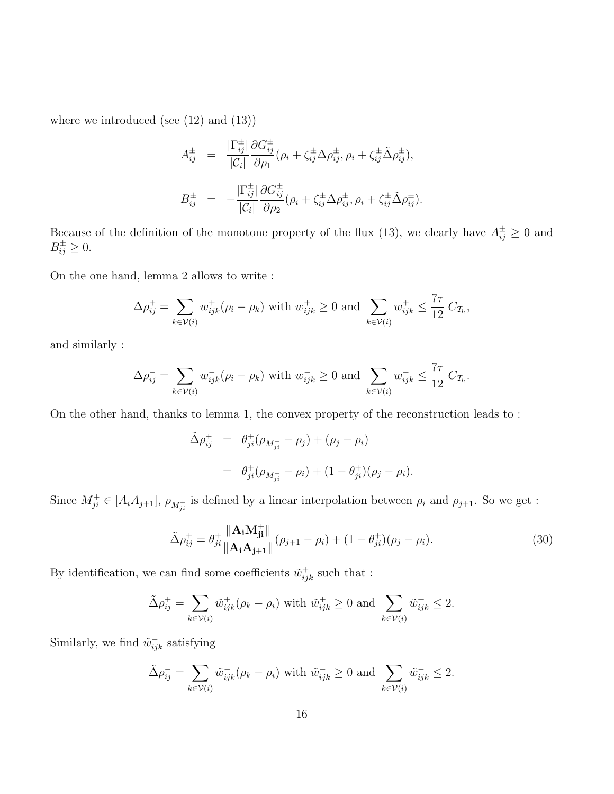where we introduced (see  $(12)$  and  $(13)$ )

$$
A_{ij}^{\pm} = \frac{|\Gamma_{ij}^{\pm}|}{|\mathcal{C}_i|} \frac{\partial G_{ij}^{\pm}}{\partial \rho_1} (\rho_i + \zeta_{ij}^{\pm} \Delta \rho_{ij}^{\pm}, \rho_i + \zeta_{ij}^{\pm} \tilde{\Delta} \rho_{ij}^{\pm}),
$$
  

$$
B_{ij}^{\pm} = -\frac{|\Gamma_{ij}^{\pm}|}{|\mathcal{C}_i|} \frac{\partial G_{ij}^{\pm}}{\partial \rho_2} (\rho_i + \zeta_{ij}^{\pm} \Delta \rho_{ij}^{\pm}, \rho_i + \zeta_{ij}^{\pm} \tilde{\Delta} \rho_{ij}^{\pm}).
$$

Because of the definition of the monotone property of the flux (13), we clearly have  $A_{ij}^{\pm} \geq 0$  and  $B_{ij}^{\pm} \geq 0.$ 

On the one hand, lemma 2 allows to write :

$$
\Delta \rho_{ij}^+ = \sum_{k \in \mathcal{V}(i)} w_{ijk}^+(\rho_i - \rho_k) \text{ with } w_{ijk}^+ \ge 0 \text{ and } \sum_{k \in \mathcal{V}(i)} w_{ijk}^+ \le \frac{7\tau}{12} C_{\mathcal{T}_h},
$$

and similarly :

$$
\Delta \rho_{ij}^- = \sum_{k \in \mathcal{V}(i)} w_{ijk}^- (\rho_i - \rho_k)
$$
 with  $w_{ijk}^- \ge 0$  and  $\sum_{k \in \mathcal{V}(i)} w_{ijk}^- \le \frac{7\tau}{12} C_{\mathcal{T}_h}.$ 

On the other hand, thanks to lemma 1, the convex property of the reconstruction leads to :

$$
\tilde{\Delta} \rho_{ij}^{+} = \theta_{ji}^{+} (\rho_{M_{ji}^{+}} - \rho_{j}) + (\rho_{j} - \rho_{i})
$$
  
= 
$$
\theta_{ji}^{+} (\rho_{M_{ji}^{+}} - \rho_{i}) + (1 - \theta_{ji}^{+}) (\rho_{j} - \rho_{i}).
$$

Since  $M_{ji}^+ \in [A_i A_{j+1}], \rho_{M_{ji}^+}$  is defined by a linear interpolation between  $\rho_i$  and  $\rho_{j+1}$ . So we get :

$$
\tilde{\Delta}\rho_{ij}^{+} = \theta_{ji}^{+} \frac{\|\mathbf{A_i} \mathbf{M_{ji}^{+}}\|}{\|\mathbf{A_i} \mathbf{A_{j+1}}\|} (\rho_{j+1} - \rho_i) + (1 - \theta_{ji}^{+}) (\rho_j - \rho_i). \tag{30}
$$

By identification, we can find some coefficients  $\tilde{w}_{ijk}^+$  such that :

$$
\tilde{\Delta} \rho_{ij}^+ = \sum_{k \in \mathcal{V}(i)} \tilde{w}_{ijk}^+ (\rho_k - \rho_i) \text{ with } \tilde{w}_{ijk}^+ \ge 0 \text{ and } \sum_{k \in \mathcal{V}(i)} \tilde{w}_{ijk}^+ \le 2.
$$

Similarly, we find  $\tilde{w}_{ijk}^-$  satisfying

$$
\tilde{\Delta}\rho_{ij}^- = \sum_{k \in \mathcal{V}(i)} \tilde{w}_{ijk}^- (\rho_k - \rho_i) \text{ with } \tilde{w}_{ijk}^- \ge 0 \text{ and } \sum_{k \in \mathcal{V}(i)} \tilde{w}_{ijk}^- \le 2.
$$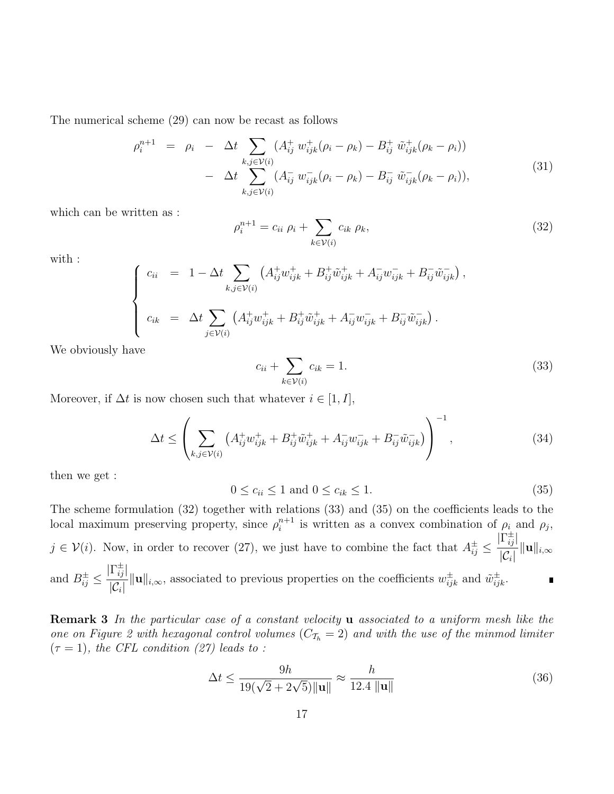The numerical scheme (29) can now be recast as follows

$$
\rho_i^{n+1} = \rho_i - \Delta t \sum_{k,j \in \mathcal{V}(i)} (A_{ij}^+ w_{ijk}^+ (\rho_i - \rho_k) - B_{ij}^+ \tilde{w}_{ijk}^+ (\rho_k - \rho_i)) - \Delta t \sum_{k,j \in \mathcal{V}(i)} (A_{ij}^- w_{ijk}^- (\rho_i - \rho_k) - B_{ij}^- \tilde{w}_{ijk}^- (\rho_k - \rho_i)),
$$
\n(31)

which can be written as :

$$
\rho_i^{n+1} = c_{ii} \rho_i + \sum_{k \in \mathcal{V}(i)} c_{ik} \rho_k,\tag{32}
$$

with :

$$
\begin{cases}\n c_{ii} = 1 - \Delta t \sum_{k,j \in \mathcal{V}(i)} \left( A_{ij}^{+} w_{ijk}^{+} + B_{ij}^{+} \tilde{w}_{ijk}^{+} + A_{ij}^{-} w_{ijk}^{-} + B_{ij}^{-} \tilde{w}_{ijk}^{-} \right), \\
 c_{ik} = \Delta t \sum_{j \in \mathcal{V}(i)} \left( A_{ij}^{+} w_{ijk}^{+} + B_{ij}^{+} \tilde{w}_{ijk}^{+} + A_{ij}^{-} w_{ijk}^{-} + B_{ij}^{-} \tilde{w}_{ijk}^{-} \right).\n\end{cases}
$$

We obviously have

$$
c_{ii} + \sum_{k \in \mathcal{V}(i)} c_{ik} = 1. \tag{33}
$$

Moreover, if  $\Delta t$  is now chosen such that whatever  $i \in [1, I]$ ,

$$
\Delta t \le \left( \sum_{k,j \in \mathcal{V}(i)} \left( A_{ij}^+ w_{ijk}^+ + B_{ij}^+ \tilde{w}_{ijk}^+ + A_{ij}^- w_{ijk}^- + B_{ij}^- \tilde{w}_{ijk}^- \right) \right)^{-1}, \tag{34}
$$

then we get :

$$
0 \le c_{ii} \le 1 \text{ and } 0 \le c_{ik} \le 1. \tag{35}
$$

The scheme formulation (32) together with relations (33) and (35) on the coefficients leads to the local maximum preserving property, since  $\rho_i^{n+1}$  $i^{n+1}$  is written as a convex combination of  $\rho_i$  and  $\rho_j$ ,  $|\Gamma_{ij}^{\pm}|$  $j \in \mathcal{V}(i)$ . Now, in order to recover (27), we just have to combine the fact that  $A_{ij}^{\pm} \leq$  $\frac{\overline{-\imath\jmath\,\mathsf{l}}}{|\mathcal{C}_i|}\|\mathbf{u}\|_{i,\infty}$  $|\Gamma_{ij}^\pm|$ and  $B_{ij}^{\pm} \leq$  $\frac{1}{|\mathcal{C}_i|} ||\mathbf{u}||_{i,\infty}$ , associated to previous properties on the coefficients  $w_{ijk}^{\pm}$  and  $\tilde{w}_{ijk}^{\pm}$ .  $\blacksquare$ 

Remark 3 In the particular case of a constant velocity **u** associated to a uniform mesh like the one on Figure 2 with hexagonal control volumes  $(C_{\mathcal{T}_h} = 2)$  and with the use of the minmod limiter  $(\tau = 1)$ , the CFL condition (27) leads to :

$$
\Delta t \le \frac{9h}{19(\sqrt{2} + 2\sqrt{5})\|\mathbf{u}\|} \approx \frac{h}{12.4\|\mathbf{u}\|} \tag{36}
$$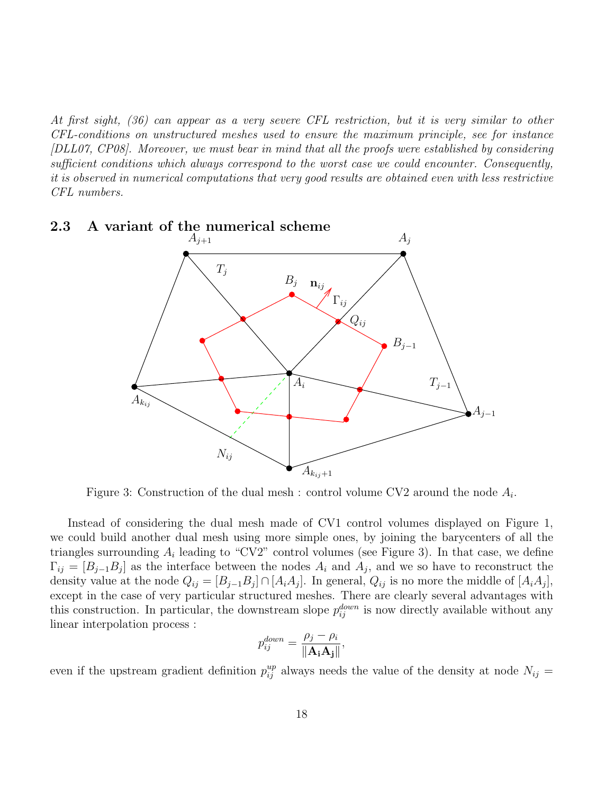At first sight, (36) can appear as a very severe CFL restriction, but it is very similar to other CFL-conditions on unstructured meshes used to ensure the maximum principle, see for instance [DLL07, CP08]. Moreover, we must bear in mind that all the proofs were established by considering sufficient conditions which always correspond to the worst case we could encounter. Consequently, it is observed in numerical computations that very good results are obtained even with less restrictive CFL numbers.



# 2.3 A variant of the numerical scheme

Figure 3: Construction of the dual mesh : control volume CV2 around the node  $A_i$ .

Instead of considering the dual mesh made of CV1 control volumes displayed on Figure 1, we could build another dual mesh using more simple ones, by joining the barycenters of all the triangles surrounding  $A_i$  leading to "CV2" control volumes (see Figure 3). In that case, we define  $\Gamma_{ij} = [B_{j-1}B_j]$  as the interface between the nodes  $A_i$  and  $A_j$ , and we so have to reconstruct the density value at the node  $Q_{ij} = [B_{j-1}B_j] \cap [A_iA_j]$ . In general,  $Q_{ij}$  is no more the middle of  $[A_iA_j]$ , except in the case of very particular structured meshes. There are clearly several advantages with this construction. In particular, the downstream slope  $p_{ij}^{down}$  is now directly available without any linear interpolation process :

$$
p_{ij}^{down} = \frac{\rho_j - \rho_i}{\|\mathbf{A_i A_j}\|},
$$

even if the upstream gradient definition  $p_{ij}^{up}$  always needs the value of the density at node  $N_{ij}$  =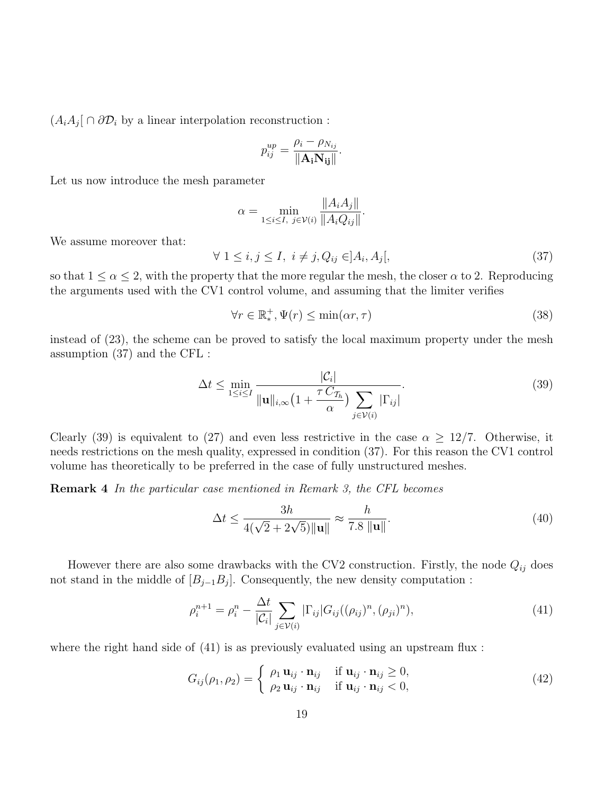$(A_i A_j \mid \cap \partial \mathcal{D}_i)$  by a linear interpolation reconstruction :

$$
p_{ij}^{up} = \frac{\rho_i - \rho_{N_{ij}}}{\|\mathbf{A_i} \mathbf{N_{ij}}\|}.
$$

Let us now introduce the mesh parameter

$$
\alpha = \min_{1 \le i \le I, \ j \in \mathcal{V}(i)} \frac{\|A_i A_j\|}{\|A_i Q_{ij}\|}.
$$

We assume moreover that:

$$
\forall 1 \le i, j \le I, \ i \ne j, Q_{ij} \in ]A_i, A_j[, \tag{37}
$$

so that  $1 \le \alpha \le 2$ , with the property that the more regular the mesh, the closer  $\alpha$  to 2. Reproducing the arguments used with the CV1 control volume, and assuming that the limiter verifies

$$
\forall r \in \mathbb{R}_*^+, \Psi(r) \le \min(\alpha r, \tau)
$$
\n(38)

instead of (23), the scheme can be proved to satisfy the local maximum property under the mesh assumption (37) and the CFL :

$$
\Delta t \le \min_{1 \le i \le I} \frac{|\mathcal{C}_i|}{\|\mathbf{u}\|_{i,\infty} \left(1 + \frac{\tau C_{\mathcal{T}_h}}{\alpha}\right) \sum_{j \in \mathcal{V}(i)} |\Gamma_{ij}|}.
$$
\n(39)

Clearly (39) is equivalent to (27) and even less restrictive in the case  $\alpha \geq 12/7$ . Otherwise, it needs restrictions on the mesh quality, expressed in condition (37). For this reason the CV1 control volume has theoretically to be preferred in the case of fully unstructured meshes.

Remark 4 In the particular case mentioned in Remark 3, the CFL becomes

$$
\Delta t \le \frac{3h}{4(\sqrt{2} + 2\sqrt{5}) \|\mathbf{u}\|} \approx \frac{h}{7.8 \|\mathbf{u}\|}.
$$
\n(40)

However there are also some drawbacks with the CV2 construction. Firstly, the node  $Q_{ij}$  does not stand in the middle of  $[B_{j-1}B_j]$ . Consequently, the new density computation :

$$
\rho_i^{n+1} = \rho_i^n - \frac{\Delta t}{|\mathcal{C}_i|} \sum_{j \in \mathcal{V}(i)} |\Gamma_{ij}| G_{ij} ((\rho_{ij})^n, (\rho_{ji})^n), \tag{41}
$$

where the right hand side of  $(41)$  is as previously evaluated using an upstream flux:

$$
G_{ij}(\rho_1, \rho_2) = \begin{cases} \rho_1 \mathbf{u}_{ij} \cdot \mathbf{n}_{ij} & \text{if } \mathbf{u}_{ij} \cdot \mathbf{n}_{ij} \ge 0, \\ \rho_2 \mathbf{u}_{ij} \cdot \mathbf{n}_{ij} & \text{if } \mathbf{u}_{ij} \cdot \mathbf{n}_{ij} < 0, \end{cases}
$$
(42)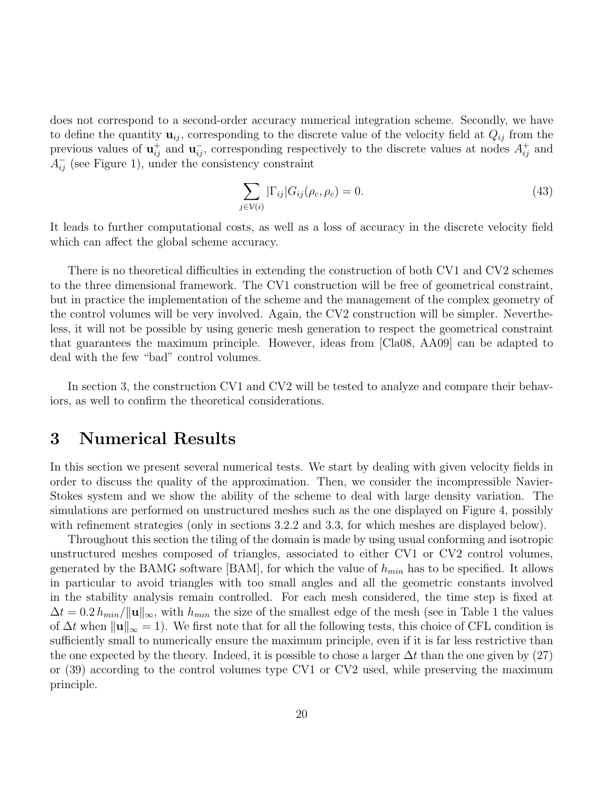does not correspond to a second-order accuracy numerical integration scheme. Secondly, we have to define the quantity  $\mathbf{u}_{ij}$ , corresponding to the discrete value of the velocity field at  $Q_{ij}$  from the previous values of  $\mathbf{u}_{ij}^+$  and  $\mathbf{u}_{ij}^-$ , corresponding respectively to the discrete values at nodes  $A_{ij}^+$  and  $A_{ij}^-$  (see Figure 1), under the consistency constraint

$$
\sum_{j \in \mathcal{V}(i)} |\Gamma_{ij}| G_{ij}(\rho_c, \rho_c) = 0. \tag{43}
$$

It leads to further computational costs, as well as a loss of accuracy in the discrete velocity field which can affect the global scheme accuracy.

There is no theoretical difficulties in extending the construction of both CV1 and CV2 schemes to the three dimensional framework. The CV1 construction will be free of geometrical constraint, but in practice the implementation of the scheme and the management of the complex geometry of the control volumes will be very involved. Again, the CV2 construction will be simpler. Nevertheless, it will not be possible by using generic mesh generation to respect the geometrical constraint that guarantees the maximum principle. However, ideas from [Cla08, AA09] can be adapted to deal with the few "bad" control volumes.

In section 3, the construction CV1 and CV2 will be tested to analyze and compare their behaviors, as well to confirm the theoretical considerations.

### 3 Numerical Results

In this section we present several numerical tests. We start by dealing with given velocity fields in order to discuss the quality of the approximation. Then, we consider the incompressible Navier-Stokes system and we show the ability of the scheme to deal with large density variation. The simulations are performed on unstructured meshes such as the one displayed on Figure 4, possibly with refinement strategies (only in sections 3.2.2 and 3.3, for which meshes are displayed below).

Throughout this section the tiling of the domain is made by using usual conforming and isotropic unstructured meshes composed of triangles, associated to either CV1 or CV2 control volumes, generated by the BAMG software [BAM], for which the value of  $h_{min}$  has to be specified. It allows in particular to avoid triangles with too small angles and all the geometric constants involved in the stability analysis remain controlled. For each mesh considered, the time step is fixed at  $\Delta t = 0.2 h_{min}/||\mathbf{u}||_{\infty}$ , with  $h_{min}$  the size of the smallest edge of the mesh (see in Table 1 the values of  $\Delta t$  when  $\|\mathbf{u}\|_{\infty} = 1$ . We first note that for all the following tests, this choice of CFL condition is sufficiently small to numerically ensure the maximum principle, even if it is far less restrictive than the one expected by the theory. Indeed, it is possible to chose a larger  $\Delta t$  than the one given by (27) or (39) according to the control volumes type CV1 or CV2 used, while preserving the maximum principle.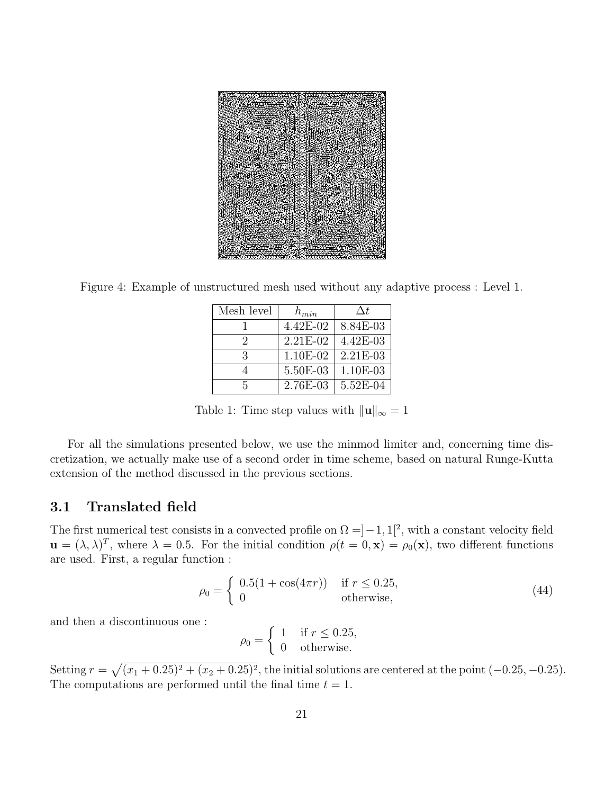

Figure 4: Example of unstructured mesh used without any adaptive process : Level 1.

| Mesh level | $h_{min}$ | $\Delta t$   |
|------------|-----------|--------------|
|            | 4.42E-02  | 8.84E-03     |
| $\Omega$   | 2.21E-02  | $4.42E - 03$ |
| 3          | 1.10E-02  | $2.21E-03$   |
|            | 5.50E-03  | 1.10E-03     |
| г,         | 2.76E-03  | 5.52E-04     |

Table 1: Time step values with  $\|\mathbf{u}\|_{\infty} = 1$ 

For all the simulations presented below, we use the minmod limiter and, concerning time discretization, we actually make use of a second order in time scheme, based on natural Runge-Kutta extension of the method discussed in the previous sections.

#### 3.1 Translated field

The first numerical test consists in a convected profile on  $\Omega = ]-1,1[^2$ , with a constant velocity field  $\mathbf{u} = (\lambda, \lambda)^T$ , where  $\lambda = 0.5$ . For the initial condition  $\rho(t = 0, \mathbf{x}) = \rho_0(\mathbf{x})$ , two different functions are used. First, a regular function :

$$
\rho_0 = \begin{cases} 0.5(1 + \cos(4\pi r)) & \text{if } r \le 0.25, \\ 0 & \text{otherwise,} \end{cases}
$$
\n(44)

and then a discontinuous one :

$$
\rho_0 = \begin{cases} 1 & \text{if } r \le 0.25, \\ 0 & \text{otherwise.} \end{cases}
$$

Setting  $r = \sqrt{(x_1 + 0.25)^2 + (x_2 + 0.25)^2}$ , the initial solutions are centered at the point  $(-0.25, -0.25)$ . The computations are performed until the final time  $t = 1$ .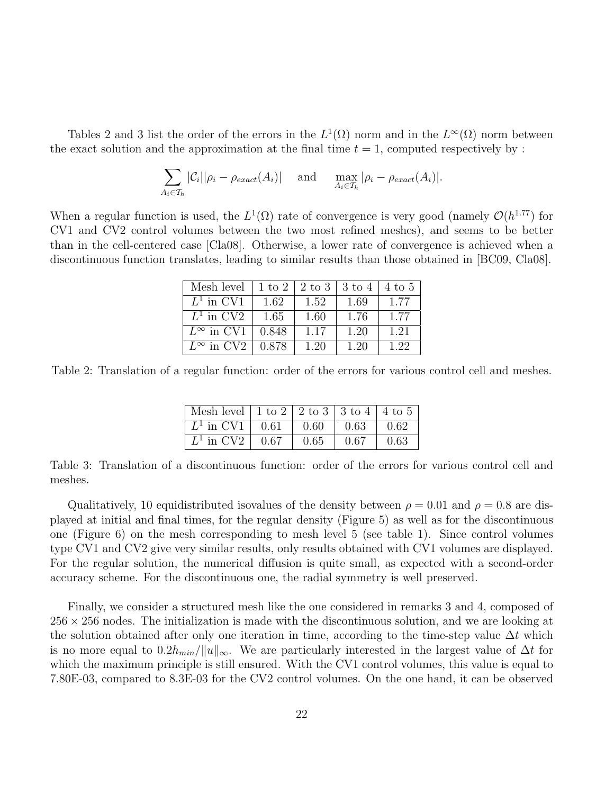Tables 2 and 3 list the order of the errors in the  $L^1(\Omega)$  norm and in the  $L^{\infty}(\Omega)$  norm between the exact solution and the approximation at the final time  $t = 1$ , computed respectively by:

$$
\sum_{A_i \in \mathcal{T}_h} |\mathcal{C}_i||\rho_i - \rho_{exact}(A_i)| \quad \text{and} \quad \max_{A_i \in \mathcal{T}_h} |\rho_i - \rho_{exact}(A_i)|.
$$

When a regular function is used, the  $L^1(\Omega)$  rate of convergence is very good (namely  $\mathcal{O}(h^{1.77})$  for CV1 and CV2 control volumes between the two most refined meshes), and seems to be better than in the cell-centered case [Cla08]. Otherwise, a lower rate of convergence is achieved when a discontinuous function translates, leading to similar results than those obtained in [BC09, Cla08].

| Mesh level          | $1 \text{ to } 2$ |      | $2$ to $3 \mid 3$ to $4$ | $\frac{1}{4}$ to 5 |
|---------------------|-------------------|------|--------------------------|--------------------|
| $L^1$ in CV1        | 1.62              | 1.52 | 1.69                     | 1.77               |
| $L^1$ in CV2        | 1.65              | 1.60 | 1.76                     | 1.77               |
| $L^{\infty}$ in CV1 | 0.848             | 1.17 | 1.20                     | 1.21               |
| $L^{\infty}$ in CV2 | 0.878             | 1.20 | 1.20                     | 1.22               |

Table 2: Translation of a regular function: order of the errors for various control cell and meshes.

| Mesh level   1 to 2   2 to 3   3 to 4   4 to 5 |      |      |                    |
|------------------------------------------------|------|------|--------------------|
| $\mid L^1$ in CV1 $\mid$ 0.61                  | 0.60 | 0.63 | $\vert 0.62 \vert$ |
| $L^1$ in CV2   0.67                            | 0.65 | 0.67 | 0.63               |

Table 3: Translation of a discontinuous function: order of the errors for various control cell and meshes.

Qualitatively, 10 equidistributed isovalues of the density between  $\rho = 0.01$  and  $\rho = 0.8$  are displayed at initial and final times, for the regular density (Figure 5) as well as for the discontinuous one (Figure 6) on the mesh corresponding to mesh level 5 (see table 1). Since control volumes type CV1 and CV2 give very similar results, only results obtained with CV1 volumes are displayed. For the regular solution, the numerical diffusion is quite small, as expected with a second-order accuracy scheme. For the discontinuous one, the radial symmetry is well preserved.

Finally, we consider a structured mesh like the one considered in remarks 3 and 4, composed of  $256 \times 256$  nodes. The initialization is made with the discontinuous solution, and we are looking at the solution obtained after only one iteration in time, according to the time-step value  $\Delta t$  which is no more equal to  $0.2h_{min}/||u||_{\infty}$ . We are particularly interested in the largest value of  $\Delta t$  for which the maximum principle is still ensured. With the CV1 control volumes, this value is equal to 7.80E-03, compared to 8.3E-03 for the CV2 control volumes. On the one hand, it can be observed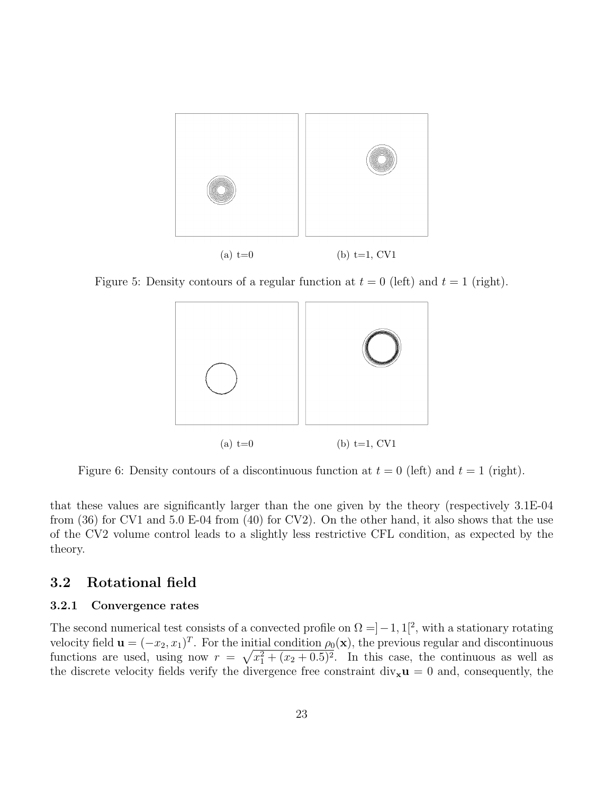

Figure 5: Density contours of a regular function at  $t = 0$  (left) and  $t = 1$  (right).



Figure 6: Density contours of a discontinuous function at  $t = 0$  (left) and  $t = 1$  (right).

that these values are significantly larger than the one given by the theory (respectively 3.1E-04 from (36) for CV1 and 5.0 E-04 from (40) for CV2). On the other hand, it also shows that the use of the CV2 volume control leads to a slightly less restrictive CFL condition, as expected by the theory.

### 3.2 Rotational field

### 3.2.1 Convergence rates

The second numerical test consists of a convected profile on  $\Omega = ]-1,1[^2$ , with a stationary rotating velocity field  $\mathbf{u} = (-x_2, x_1)^T$ . For the initial condition  $\rho_0(\mathbf{x})$ , the previous regular and discontinuous functions are used, using now  $r = \sqrt{x_1^2 + (x_2 + 0.5)^2}$ . In this case, the continuous as well as the discrete velocity fields verify the divergence free constraint  $div_x u = 0$  and, consequently, the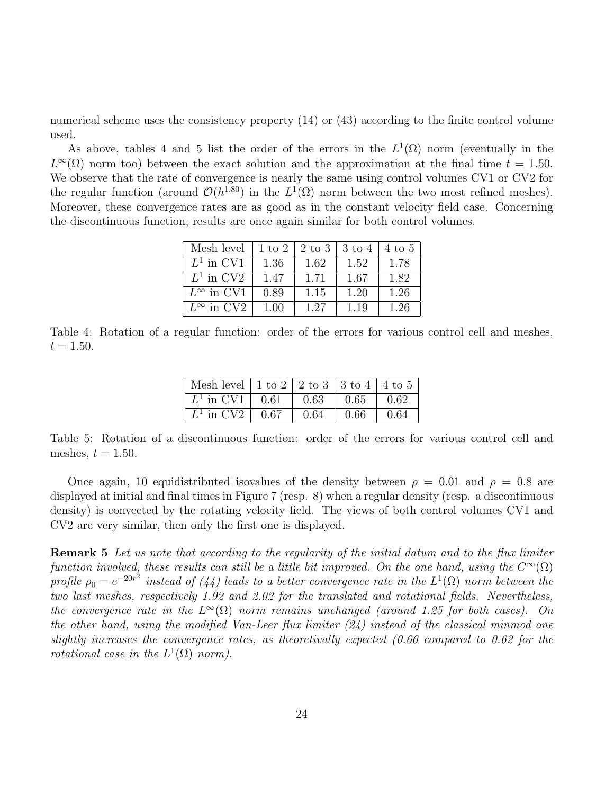numerical scheme uses the consistency property (14) or (43) according to the finite control volume used.

As above, tables 4 and 5 list the order of the errors in the  $L^1(\Omega)$  norm (eventually in the  $L^{\infty}(\Omega)$  norm too) between the exact solution and the approximation at the final time  $t = 1.50$ . We observe that the rate of convergence is nearly the same using control volumes CV1 or CV2 for the regular function (around  $\mathcal{O}(h^{1.80})$  in the  $L^1(\Omega)$  norm between the two most refined meshes). Moreover, these convergence rates are as good as in the constant velocity field case. Concerning the discontinuous function, results are once again similar for both control volumes.

| Mesh level          | $1 \text{ to } 2$ | 2 to 3 | $3 \text{ to } 4$ | $4 \text{ to } 5$ |
|---------------------|-------------------|--------|-------------------|-------------------|
| $L^1$ in CV1        | 1.36              | 1.62   | 1.52              | 1.78              |
| $L^1$ in CV2        | 1.47              | 1.71   | 1.67              | 1.82              |
| $L^{\infty}$ in CV1 | 0.89              | 1.15   | 1.20              | 1.26              |
| $L^{\infty}$ in CV2 | 1.00              | 1.27   | 1.19              | 1.26              |

Table 4: Rotation of a regular function: order of the errors for various control cell and meshes,  $t = 1.50$ .

| Mesh level   1 to 2   2 to 3   3 to 4   4 to 5 |              |      |      |
|------------------------------------------------|--------------|------|------|
| $\mid L^1$ in CV1 $\mid$ 0.61                  | $\vert$ 0.63 | 0.65 | 0.62 |
| $\mid L^1$ in CV2 $\mid$ 0.67                  | 0.64         | 0.66 | 0.64 |

Table 5: Rotation of a discontinuous function: order of the errors for various control cell and meshes,  $t = 1.50$ .

Once again, 10 equidistributed isovalues of the density between  $\rho = 0.01$  and  $\rho = 0.8$  are displayed at initial and final times in Figure 7 (resp. 8) when a regular density (resp. a discontinuous density) is convected by the rotating velocity field. The views of both control volumes CV1 and CV2 are very similar, then only the first one is displayed.

Remark 5 Let us note that according to the regularity of the initial datum and to the flux limiter function involved, these results can still be a little bit improved. On the one hand, using the  $C^{\infty}(\Omega)$ profile  $\rho_0 = e^{-20r^2}$  instead of (44) leads to a better convergence rate in the  $L^1(\Omega)$  norm between the two last meshes, respectively 1.92 and 2.02 for the translated and rotational fields. Nevertheless, the convergence rate in the  $L^{\infty}(\Omega)$  norm remains unchanged (around 1.25 for both cases). On the other hand, using the modified Van-Leer flux limiter  $(24)$  instead of the classical minmod one slightly increases the convergence rates, as theoretivally expected (0.66 compared to 0.62 for the rotational case in the  $L^1(\Omega)$  norm).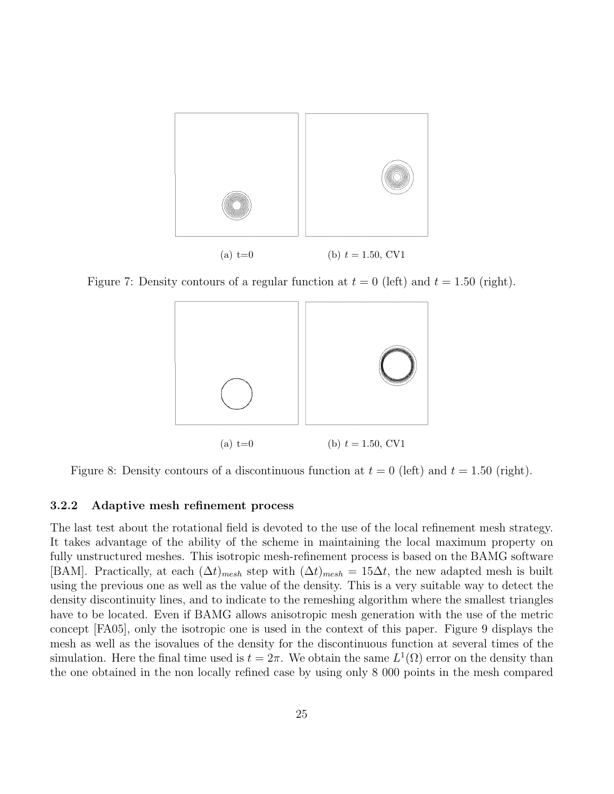

Figure 7: Density contours of a regular function at  $t = 0$  (left) and  $t = 1.50$  (right).



Figure 8: Density contours of a discontinuous function at  $t = 0$  (left) and  $t = 1.50$  (right).

### 3.2.2 Adaptive mesh refinement process

The last test about the rotational field is devoted to the use of the local refinement mesh strategy. It takes advantage of the ability of the scheme in maintaining the local maximum property on fully unstructured meshes. This isotropic mesh-refinement process is based on the BAMG software [BAM]. Practically, at each  $(\Delta t)_{mesh}$  step with  $(\Delta t)_{mesh} = 15\Delta t$ , the new adapted mesh is built using the previous one as well as the value of the density. This is a very suitable way to detect the density discontinuity lines, and to indicate to the remeshing algorithm where the smallest triangles have to be located. Even if BAMG allows anisotropic mesh generation with the use of the metric concept [FA05], only the isotropic one is used in the context of this paper. Figure 9 displays the mesh as well as the isovalues of the density for the discontinuous function at several times of the simulation. Here the final time used is  $t = 2\pi$ . We obtain the same  $L^1(\Omega)$  error on the density than the one obtained in the non locally refined case by using only 8 000 points in the mesh compared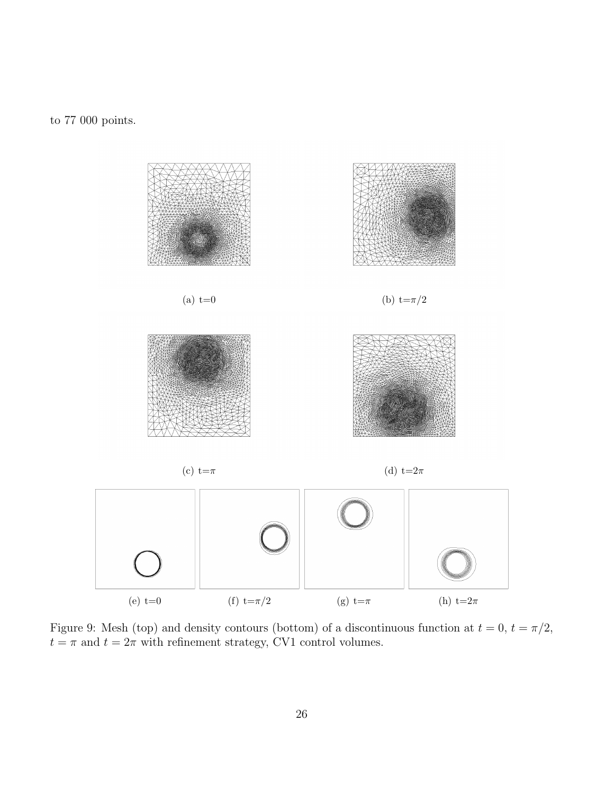to 77 000 points.



Figure 9: Mesh (top) and density contours (bottom) of a discontinuous function at  $t = 0$ ,  $t = \pi/2$ ,  $t = \pi$  and  $t = 2\pi$  with refinement strategy, CV1 control volumes.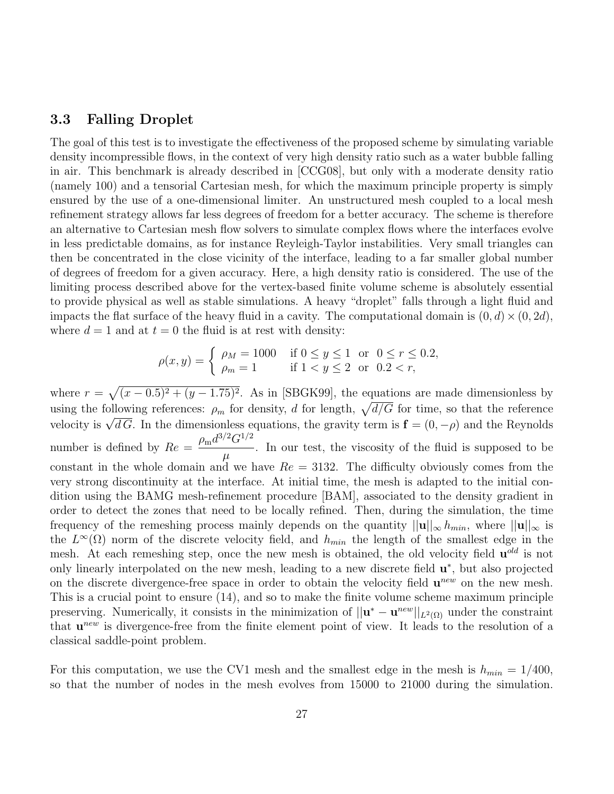#### 3.3 Falling Droplet

The goal of this test is to investigate the effectiveness of the proposed scheme by simulating variable density incompressible flows, in the context of very high density ratio such as a water bubble falling in air. This benchmark is already described in [CCG08], but only with a moderate density ratio (namely 100) and a tensorial Cartesian mesh, for which the maximum principle property is simply ensured by the use of a one-dimensional limiter. An unstructured mesh coupled to a local mesh refinement strategy allows far less degrees of freedom for a better accuracy. The scheme is therefore an alternative to Cartesian mesh flow solvers to simulate complex flows where the interfaces evolve in less predictable domains, as for instance Reyleigh-Taylor instabilities. Very small triangles can then be concentrated in the close vicinity of the interface, leading to a far smaller global number of degrees of freedom for a given accuracy. Here, a high density ratio is considered. The use of the limiting process described above for the vertex-based finite volume scheme is absolutely essential to provide physical as well as stable simulations. A heavy "droplet" falls through a light fluid and impacts the flat surface of the heavy fluid in a cavity. The computational domain is  $(0, d) \times (0, 2d)$ , where  $d = 1$  and at  $t = 0$  the fluid is at rest with density:

$$
\rho(x, y) = \begin{cases} \rho_M = 1000 & \text{if } 0 \le y \le 1 \text{ or } 0 \le r \le 0.2, \\ \rho_m = 1 & \text{if } 1 < y \le 2 \text{ or } 0.2 < r, \end{cases}
$$

where  $r = \sqrt{(x-0.5)^2 + (y-1.75)^2}$ . As in [SBGK99], the equations are made dimensionless by using the following references:  $\rho_m$  for density, d for length,  $\sqrt{d/G}$  for time, so that the reference using the ionowing references:  $\rho_m$  for density, *a* for length,  $\sqrt{a/\sigma}$  for time, so that the reference velocity is  $\sqrt{dG}$ . In the dimensionless equations, the gravity term is  $\mathbf{f} = (0, -\rho)$  and the Reynolds number is defined by  $Re = \frac{\rho_{\rm m} d^{3/2} G^{1/2}}{2}$  $\mu$ . In our test, the viscosity of the fluid is supposed to be constant in the whole domain and we have  $Re = 3132$ . The difficulty obviously comes from the very strong discontinuity at the interface. At initial time, the mesh is adapted to the initial condition using the BAMG mesh-refinement procedure [BAM], associated to the density gradient in order to detect the zones that need to be locally refined. Then, during the simulation, the time frequency of the remeshing process mainly depends on the quantity  $||\mathbf{u}||_{\infty} h_{min}$ , where  $||\mathbf{u}||_{\infty}$  is the  $L^{\infty}(\Omega)$  norm of the discrete velocity field, and  $h_{min}$  the length of the smallest edge in the mesh. At each remeshing step, once the new mesh is obtained, the old velocity field  $\mathbf{u}^{old}$  is not only linearly interpolated on the new mesh, leading to a new discrete field  $\mathbf{u}^*$ , but also projected on the discrete divergence-free space in order to obtain the velocity field  $\mathbf{u}^{new}$  on the new mesh. This is a crucial point to ensure (14), and so to make the finite volume scheme maximum principle preserving. Numerically, it consists in the minimization of  $||\mathbf{u}^* - \mathbf{u}^{new}||_{L^2(\Omega)}$  under the constraint that  $u^{new}$  is divergence-free from the finite element point of view. It leads to the resolution of a classical saddle-point problem.

For this computation, we use the CV1 mesh and the smallest edge in the mesh is  $h_{min} = 1/400$ , so that the number of nodes in the mesh evolves from 15000 to 21000 during the simulation.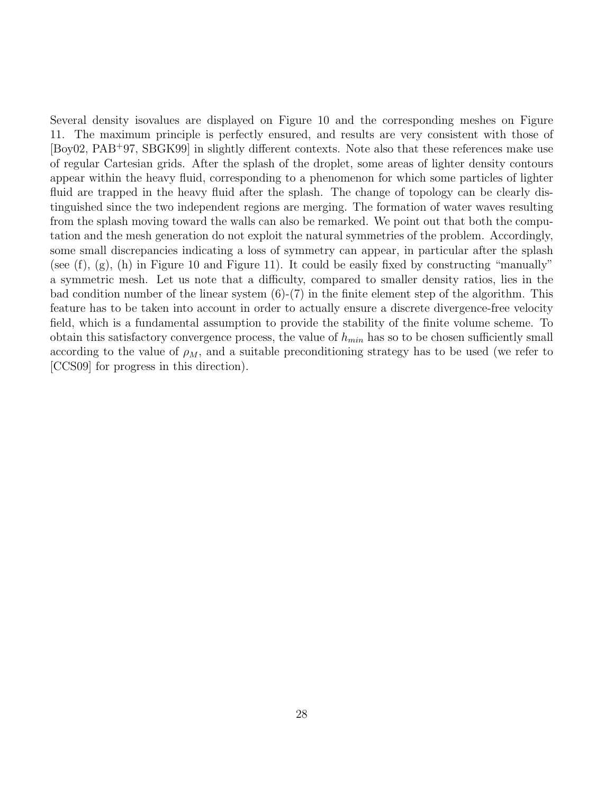Several density isovalues are displayed on Figure 10 and the corresponding meshes on Figure 11. The maximum principle is perfectly ensured, and results are very consistent with those of [Boy02, PAB<sup>+</sup>97, SBGK99] in slightly different contexts. Note also that these references make use of regular Cartesian grids. After the splash of the droplet, some areas of lighter density contours appear within the heavy fluid, corresponding to a phenomenon for which some particles of lighter fluid are trapped in the heavy fluid after the splash. The change of topology can be clearly distinguished since the two independent regions are merging. The formation of water waves resulting from the splash moving toward the walls can also be remarked. We point out that both the computation and the mesh generation do not exploit the natural symmetries of the problem. Accordingly, some small discrepancies indicating a loss of symmetry can appear, in particular after the splash (see (f),  $(g)$ , (h) in Figure 10 and Figure 11). It could be easily fixed by constructing "manually" a symmetric mesh. Let us note that a difficulty, compared to smaller density ratios, lies in the bad condition number of the linear system  $(6)-(7)$  in the finite element step of the algorithm. This feature has to be taken into account in order to actually ensure a discrete divergence-free velocity field, which is a fundamental assumption to provide the stability of the finite volume scheme. To obtain this satisfactory convergence process, the value of  $h_{min}$  has so to be chosen sufficiently small according to the value of  $\rho_M$ , and a suitable preconditioning strategy has to be used (we refer to [CCS09] for progress in this direction).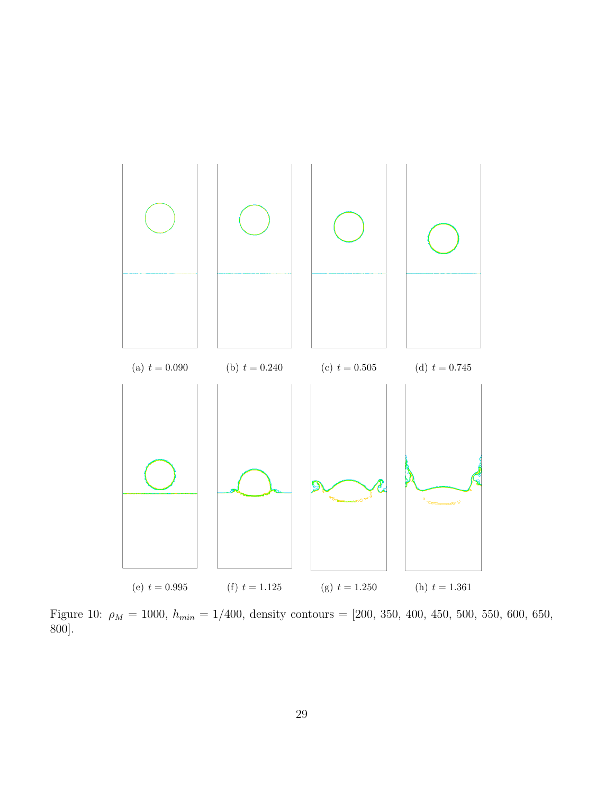

Figure 10:  $\rho_M = 1000$ ,  $h_{min} = 1/400$ , density contours = [200, 350, 400, 450, 500, 550, 600, 650, 800].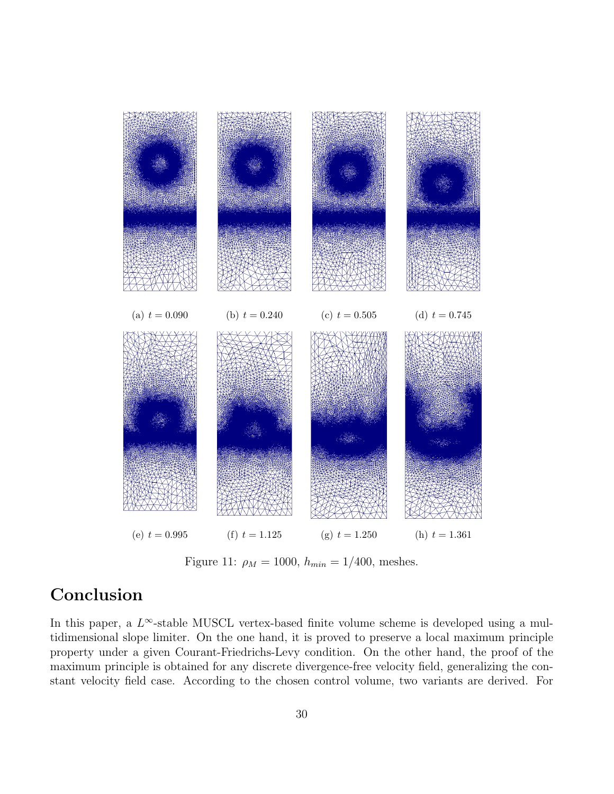

Figure 11:  $\rho_M = 1000$ ,  $h_{min} = 1/400$ , meshes.

## Conclusion

In this paper, a  $L^{\infty}$ -stable MUSCL vertex-based finite volume scheme is developed using a multidimensional slope limiter. On the one hand, it is proved to preserve a local maximum principle property under a given Courant-Friedrichs-Levy condition. On the other hand, the proof of the maximum principle is obtained for any discrete divergence-free velocity field, generalizing the constant velocity field case. According to the chosen control volume, two variants are derived. For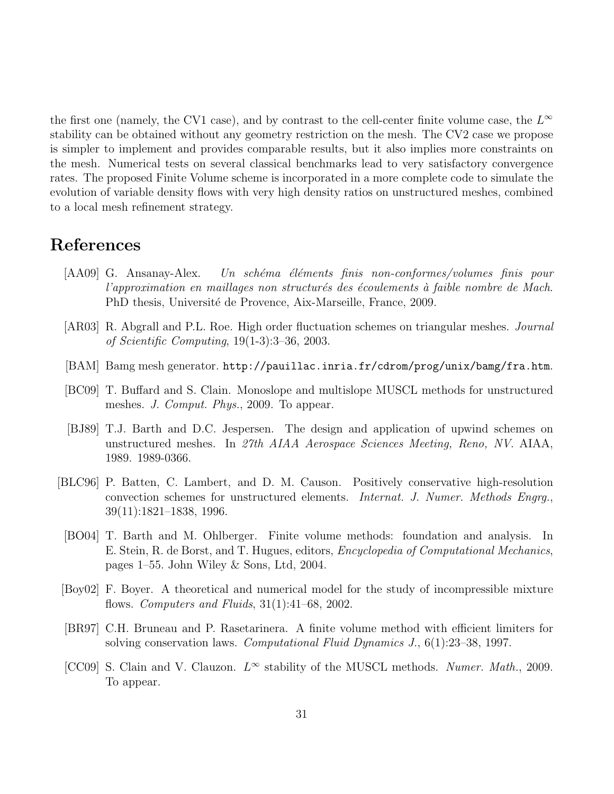the first one (namely, the CV1 case), and by contrast to the cell-center finite volume case, the  $L^{\infty}$ stability can be obtained without any geometry restriction on the mesh. The CV2 case we propose is simpler to implement and provides comparable results, but it also implies more constraints on the mesh. Numerical tests on several classical benchmarks lead to very satisfactory convergence rates. The proposed Finite Volume scheme is incorporated in a more complete code to simulate the evolution of variable density flows with very high density ratios on unstructured meshes, combined to a local mesh refinement strategy.

### References

- [AA09] G. Ansanay-Alex. Un schéma éléments finis non-conformes/volumes finis pour  $l'approximation$  en maillages non structurés des écoulements à faible nombre de Mach. PhD thesis, Université de Provence, Aix-Marseille, France, 2009.
- [AR03] R. Abgrall and P.L. Roe. High order fluctuation schemes on triangular meshes. Journal of Scientific Computing, 19(1-3):3–36, 2003.
- [BAM] Bamg mesh generator. http://pauillac.inria.fr/cdrom/prog/unix/bamg/fra.htm.
- [BC09] T. Buffard and S. Clain. Monoslope and multislope MUSCL methods for unstructured meshes. J. Comput. Phys., 2009. To appear.
- [BJ89] T.J. Barth and D.C. Jespersen. The design and application of upwind schemes on unstructured meshes. In 27th AIAA Aerospace Sciences Meeting, Reno, NV. AIAA, 1989. 1989-0366.
- [BLC96] P. Batten, C. Lambert, and D. M. Causon. Positively conservative high-resolution convection schemes for unstructured elements. Internat. J. Numer. Methods Engrg., 39(11):1821–1838, 1996.
	- [BO04] T. Barth and M. Ohlberger. Finite volume methods: foundation and analysis. In E. Stein, R. de Borst, and T. Hugues, editors, Encyclopedia of Computational Mechanics, pages 1–55. John Wiley & Sons, Ltd, 2004.
- [Boy02] F. Boyer. A theoretical and numerical model for the study of incompressible mixture flows. Computers and Fluids, 31(1):41–68, 2002.
- [BR97] C.H. Bruneau and P. Rasetarinera. A finite volume method with efficient limiters for solving conservation laws. Computational Fluid Dynamics J., 6(1):23–38, 1997.
- [CC09] S. Clain and V. Clauzon.  $L^{\infty}$  stability of the MUSCL methods. Numer. Math., 2009. To appear.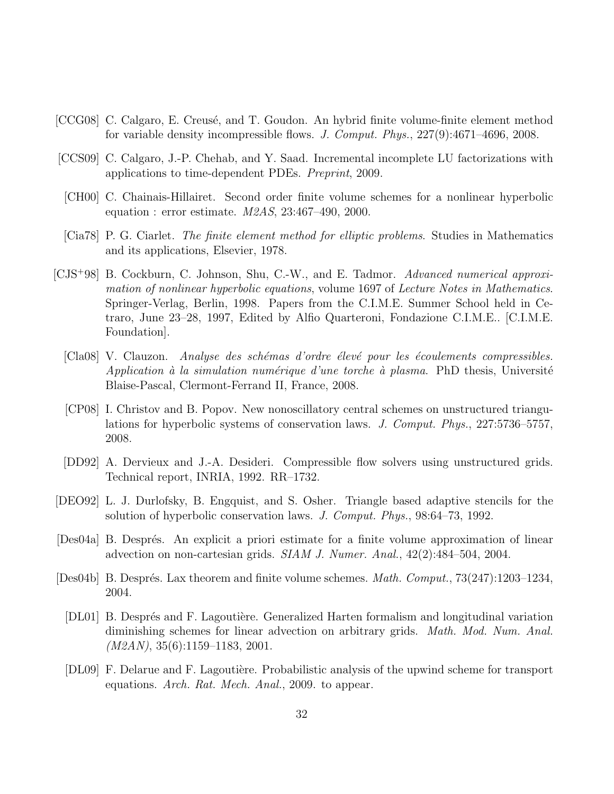- [CCG08] C. Calgaro, E. Creusé, and T. Goudon. An hybrid finite volume-finite element method for variable density incompressible flows. J. Comput. Phys., 227(9):4671–4696, 2008.
- [CCS09] C. Calgaro, J.-P. Chehab, and Y. Saad. Incremental incomplete LU factorizations with applications to time-dependent PDEs. Preprint, 2009.
- [CH00] C. Chainais-Hillairet. Second order finite volume schemes for a nonlinear hyperbolic equation : error estimate.  $M2AS$ ,  $23:467-490$ ,  $2000$ .
- [Cia78] P. G. Ciarlet. The finite element method for elliptic problems. Studies in Mathematics and its applications, Elsevier, 1978.
- [CJS<sup>+</sup>98] B. Cockburn, C. Johnson, Shu, C.-W., and E. Tadmor. Advanced numerical approximation of nonlinear hyperbolic equations, volume 1697 of Lecture Notes in Mathematics. Springer-Verlag, Berlin, 1998. Papers from the C.I.M.E. Summer School held in Cetraro, June 23–28, 1997, Edited by Alfio Quarteroni, Fondazione C.I.M.E.. [C.I.M.E. Foundation].
	- [Cla08] V. Clauzon. Analyse des schémas d'ordre élevé pour les écoulements compressibles. Application à la simulation numérique d'une torche à plasma. PhD thesis, Université Blaise-Pascal, Clermont-Ferrand II, France, 2008.
	- [CP08] I. Christov and B. Popov. New nonoscillatory central schemes on unstructured triangulations for hyperbolic systems of conservation laws. J. Comput. Phys., 227:5736–5757, 2008.
	- [DD92] A. Dervieux and J.-A. Desideri. Compressible flow solvers using unstructured grids. Technical report, INRIA, 1992. RR–1732.
- [DEO92] L. J. Durlofsky, B. Engquist, and S. Osher. Triangle based adaptive stencils for the solution of hyperbolic conservation laws. J. Comput. Phys., 98:64–73, 1992.
- [Des04a] B. Després. An explicit a priori estimate for a finite volume approximation of linear advection on non-cartesian grids. SIAM J. Numer. Anal., 42(2):484–504, 2004.
- [Des04b] B. Després. Lax theorem and finite volume schemes. *Math. Comput.*,  $73(247):1203-1234$ , 2004.
	- [DL01] B. Després and F. Lagoutière. Generalized Harten formalism and longitudinal variation diminishing schemes for linear advection on arbitrary grids. *Math. Mod. Num. Anal.*  $(M2AN)$ , 35(6):1159–1183, 2001.
	- [DL09] F. Delarue and F. Lagoutière. Probabilistic analysis of the upwind scheme for transport equations. Arch. Rat. Mech. Anal., 2009. to appear.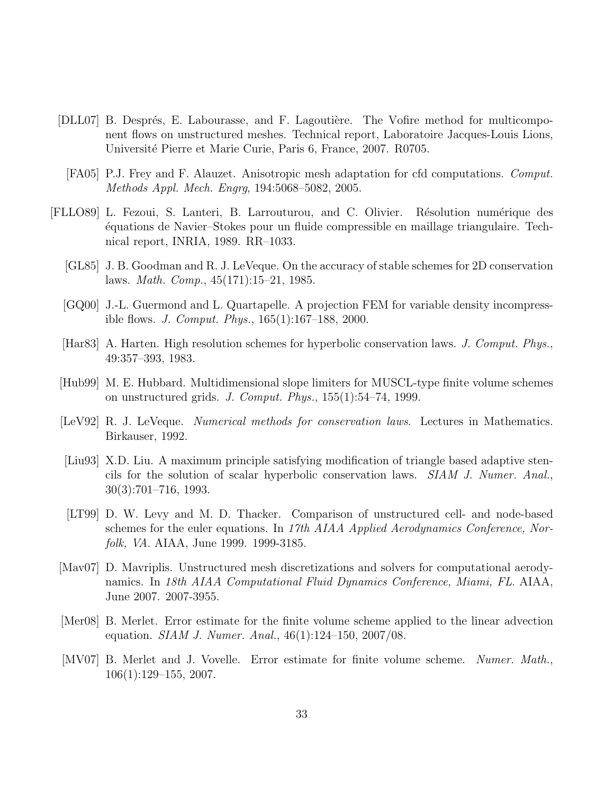- [DLL07] B. Després, E. Labourasse, and F. Lagoutière. The Vofire method for multicomponent flows on unstructured meshes. Technical report, Laboratoire Jacques-Louis Lions, Universit´e Pierre et Marie Curie, Paris 6, France, 2007. R0705.
	- [FA05] P.J. Frey and F. Alauzet. Anisotropic mesh adaptation for cfd computations. Comput. Methods Appl. Mech. Engrg, 194:5068–5082, 2005.
- [FLLO89] L. Fezoui, S. Lanteri, B. Larrouturou, and C. Olivier. R´esolution num´erique des ´equations de Navier–Stokes pour un fluide compressible en maillage triangulaire. Technical report, INRIA, 1989. RR–1033.
	- [GL85] J. B. Goodman and R. J. LeVeque. On the accuracy of stable schemes for 2D conservation laws. Math. Comp., 45(171):15–21, 1985.
	- [GQ00] J.-L. Guermond and L. Quartapelle. A projection FEM for variable density incompressible flows. J. Comput. Phys., 165(1):167–188, 2000.
	- [Har83] A. Harten. High resolution schemes for hyperbolic conservation laws. J. Comput. Phys., 49:357–393, 1983.
	- [Hub99] M. E. Hubbard. Multidimensional slope limiters for MUSCL-type finite volume schemes on unstructured grids. J. Comput. Phys., 155(1):54–74, 1999.
	- [LeV92] R. J. LeVeque. *Numerical methods for conservation laws.* Lectures in Mathematics. Birkauser, 1992.
	- [Liu93] X.D. Liu. A maximum principle satisfying modification of triangle based adaptive stencils for the solution of scalar hyperbolic conservation laws. SIAM J. Numer. Anal., 30(3):701–716, 1993.
	- [LT99] D. W. Levy and M. D. Thacker. Comparison of unstructured cell- and node-based schemes for the euler equations. In 17th AIAA Applied Aerodynamics Conference, Norfolk, VA. AIAA, June 1999. 1999-3185.
	- [Mav07] D. Mavriplis. Unstructured mesh discretizations and solvers for computational aerodynamics. In 18th AIAA Computational Fluid Dynamics Conference, Miami, FL. AIAA, June 2007. 2007-3955.
	- [Mer08] B. Merlet. Error estimate for the finite volume scheme applied to the linear advection equation. SIAM J. Numer. Anal., 46(1):124–150, 2007/08.
	- [MV07] B. Merlet and J. Vovelle. Error estimate for finite volume scheme. Numer. Math., 106(1):129–155, 2007.